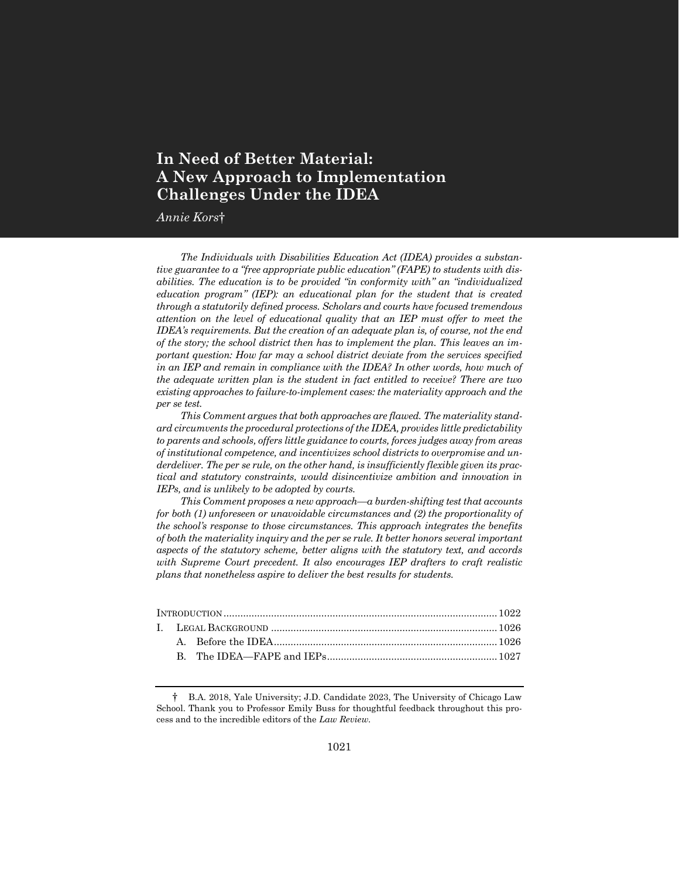# **In Need of Better Material: A New Approach to Implementation Challenges Under the IDEA**

*Annie Kors*†

*The Individuals with Disabilities Education Act (IDEA) provides a substantive guarantee to a "free appropriate public education" (FAPE) to students with disabilities. The education is to be provided "in conformity with" an "individualized education program" (IEP): an educational plan for the student that is created through a statutorily defined process. Scholars and courts have focused tremendous attention on the level of educational quality that an IEP must offer to meet the IDEA's requirements. But the creation of an adequate plan is, of course, not the end of the story; the school district then has to implement the plan. This leaves an important question: How far may a school district deviate from the services specified in an IEP and remain in compliance with the IDEA? In other words, how much of the adequate written plan is the student in fact entitled to receive? There are two existing approaches to failure-to-implement cases: the materiality approach and the per se test.*

*This Comment argues that both approaches are flawed. The materiality standard circumvents the procedural protections of the IDEA, provides little predictability to parents and schools, offers little guidance to courts, forces judges away from areas of institutional competence, and incentivizes school districts to overpromise and un*derdeliver. The per se rule, on the other hand, is insufficiently flexible given its prac*tical and statutory constraints, would disincentivize ambition and innovation in IEPs, and is unlikely to be adopted by courts.*

*This Comment proposes a new approach—a burden-shifting test that accounts for both (1) unforeseen or unavoidable circumstances and (2) the proportionality of the school's response to those circumstances. This approach integrates the benefits of both the materiality inquiry and the per se rule. It better honors several important aspects of the statutory scheme, better aligns with the statutory text, and accords with Supreme Court precedent. It also encourages IEP drafters to craft realistic plans that nonetheless aspire to deliver the best results for students.*

<sup>†</sup> B.A. 2018, Yale University; J.D. Candidate 2023, The University of Chicago Law School. Thank you to Professor Emily Buss for thoughtful feedback throughout this process and to the incredible editors of the *Law Review*.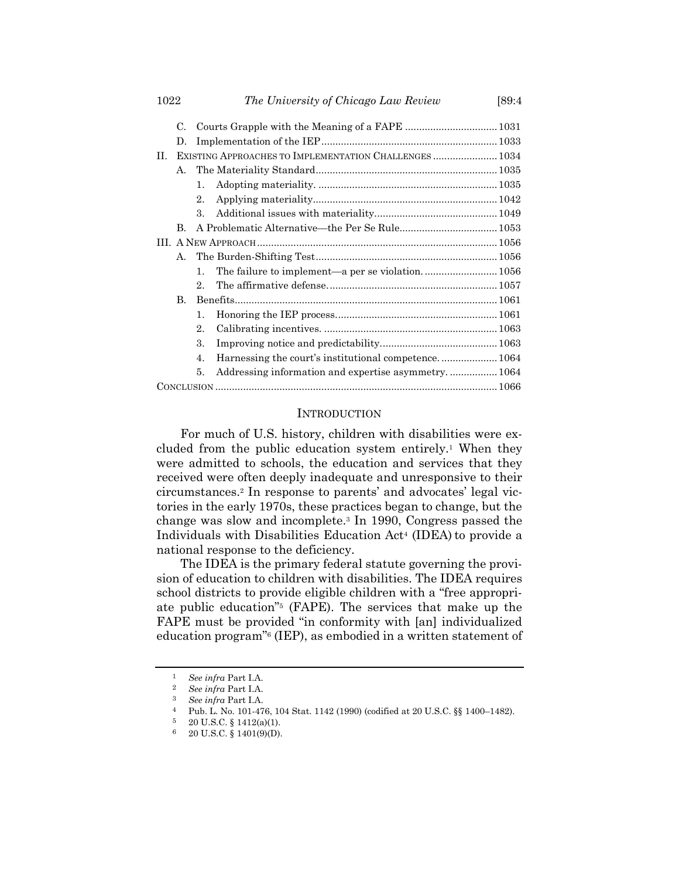| 1022 |              |                                                        | The University of Chicago Law Review                | [89:4 |  |  |
|------|--------------|--------------------------------------------------------|-----------------------------------------------------|-------|--|--|
|      | C.           |                                                        |                                                     |       |  |  |
|      | D.           |                                                        |                                                     |       |  |  |
| H.   |              | EXISTING APPROACHES TO IMPLEMENTATION CHALLENGES  1034 |                                                     |       |  |  |
|      | А.           |                                                        |                                                     |       |  |  |
|      |              | $\mathbf{1}$ .                                         |                                                     |       |  |  |
|      |              | 2.                                                     |                                                     |       |  |  |
|      |              | $\mathbf{3}$ .                                         |                                                     |       |  |  |
|      | B.           |                                                        |                                                     |       |  |  |
|      |              |                                                        |                                                     |       |  |  |
|      | А.           |                                                        |                                                     |       |  |  |
|      |              | $1_{-}$                                                |                                                     |       |  |  |
|      |              | $2_{-}$                                                |                                                     |       |  |  |
|      | $\mathbf{B}$ |                                                        |                                                     |       |  |  |
|      |              | 1.                                                     |                                                     |       |  |  |
|      |              | 2.                                                     |                                                     |       |  |  |
|      |              | 3.                                                     |                                                     |       |  |  |
|      |              | $\mathbf{4}$ .                                         |                                                     |       |  |  |
|      |              | 5.                                                     | Addressing information and expertise asymmetry 1064 |       |  |  |
|      |              |                                                        |                                                     |       |  |  |

#### INTRODUCTION

For much of U.S. history, children with disabilities were excluded from the public education system entirely.<sup>1</sup> When they were admitted to schools, the education and services that they received were often deeply inadequate and unresponsive to their circumstances.<sup>2</sup> In response to parents' and advocates' legal victories in the early 1970s, these practices began to change, but the change was slow and incomplete.<sup>3</sup> In 1990, Congress passed the Individuals with Disabilities Education Act<sup>4</sup> (IDEA) to provide a national response to the deficiency.

The IDEA is the primary federal statute governing the provision of education to children with disabilities. The IDEA requires school districts to provide eligible children with a "free appropriate public education"<sup>5</sup> (FAPE). The services that make up the FAPE must be provided "in conformity with [an] individualized education program"<sup>6</sup> (IEP), as embodied in a written statement of

<sup>1</sup> *See infra* Part I.A.

<sup>2</sup> *See infra* Part I.A.

<sup>3</sup> *See infra* Part I.A.

<sup>4</sup> Pub. L. No. 101-476, 104 Stat. 1142 (1990) (codified at 20 U.S.C. §§ 1400–1482).

 $5 \quad 20 \text{ U.S.C. } \S 1412(a)(1).$ 

<sup>6</sup> 20 U.S.C. § 1401(9)(D).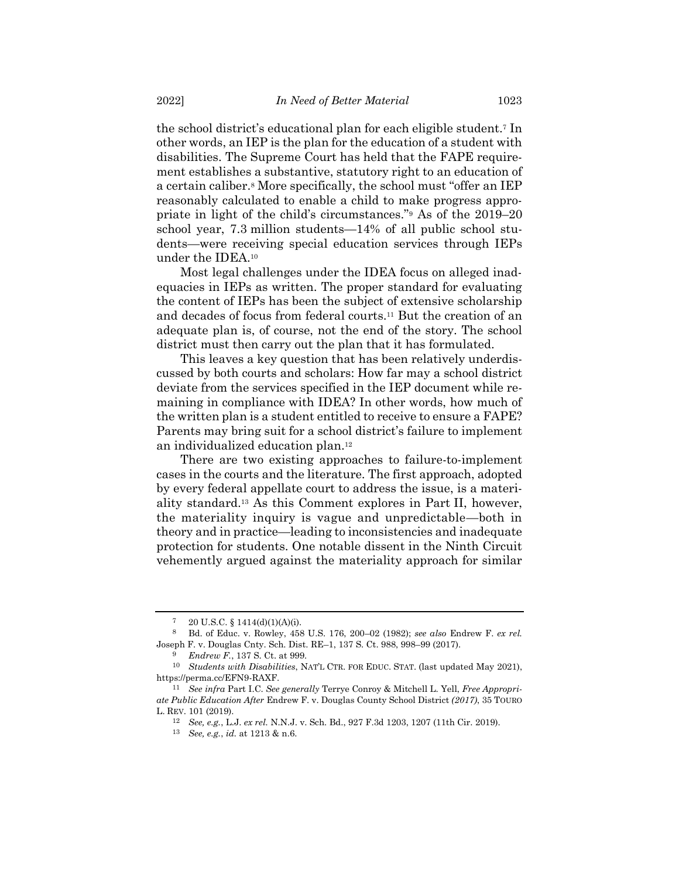the school district's educational plan for each eligible student.<sup>7</sup> In other words, an IEP is the plan for the education of a student with disabilities. The Supreme Court has held that the FAPE requirement establishes a substantive, statutory right to an education of a certain caliber.<sup>8</sup> More specifically, the school must "offer an IEP reasonably calculated to enable a child to make progress appropriate in light of the child's circumstances."<sup>9</sup> As of the 2019–20 school year, 7.3 million students—14% of all public school students—were receiving special education services through IEPs under the IDEA.<sup>10</sup>

Most legal challenges under the IDEA focus on alleged inadequacies in IEPs as written. The proper standard for evaluating the content of IEPs has been the subject of extensive scholarship and decades of focus from federal courts.<sup>11</sup> But the creation of an adequate plan is, of course, not the end of the story. The school district must then carry out the plan that it has formulated.

This leaves a key question that has been relatively underdiscussed by both courts and scholars: How far may a school district deviate from the services specified in the IEP document while remaining in compliance with IDEA? In other words, how much of the written plan is a student entitled to receive to ensure a FAPE? Parents may bring suit for a school district's failure to implement an individualized education plan.<sup>12</sup>

There are two existing approaches to failure-to-implement cases in the courts and the literature. The first approach, adopted by every federal appellate court to address the issue, is a materiality standard.<sup>13</sup> As this Comment explores in Part II, however, the materiality inquiry is vague and unpredictable—both in theory and in practice—leading to inconsistencies and inadequate protection for students. One notable dissent in the Ninth Circuit vehemently argued against the materiality approach for similar

 $7 \quad 20 \text{ U.S.C. } \S 1414(d)(1)(A)(i).$ 

<sup>8</sup> Bd. of Educ. v. Rowley, 458 U.S. 176, 200–02 (1982); *see also* Endrew F. *ex rel.* Joseph F. v. Douglas Cnty. Sch. Dist. RE–1, 137 S. Ct. 988, 998–99 (2017).

<sup>9</sup> *Endrew F.*, 137 S. Ct. at 999.

<sup>10</sup> *Students with Disabilities*, NAT'L CTR. FOR EDUC. STAT. (last updated May 2021), https://perma.cc/EFN9-RAXF.

<sup>11</sup> *See infra* Part I.C. *See generally* Terrye Conroy & Mitchell L. Yell, *Free Appropriate Public Education After* Endrew F. v. Douglas County School District *(2017)*, 35 TOURO L. REV. 101 (2019).

<sup>12</sup> *See, e.g.*, L.J. *ex rel.* N.N.J. v. Sch. Bd., 927 F.3d 1203, 1207 (11th Cir. 2019).

<sup>13</sup> *See, e.g.*, *id.* at 1213 & n.6.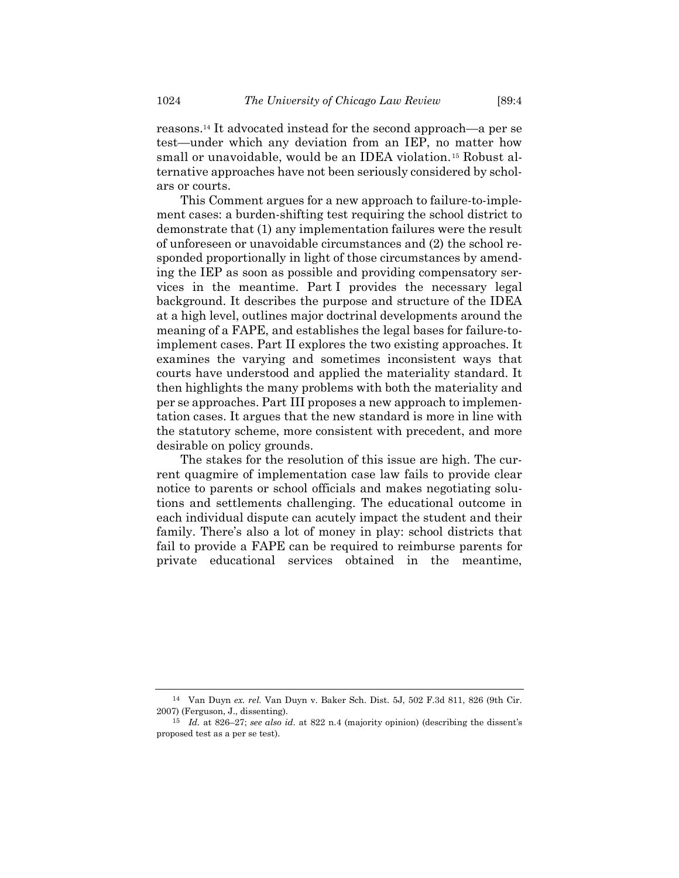reasons.<sup>14</sup> It advocated instead for the second approach—a per se test—under which any deviation from an IEP, no matter how small or unavoidable, would be an IDEA violation.<sup>15</sup> Robust alternative approaches have not been seriously considered by scholars or courts.

This Comment argues for a new approach to failure-to-implement cases: a burden-shifting test requiring the school district to demonstrate that (1) any implementation failures were the result of unforeseen or unavoidable circumstances and (2) the school responded proportionally in light of those circumstances by amending the IEP as soon as possible and providing compensatory services in the meantime. Part I provides the necessary legal background. It describes the purpose and structure of the IDEA at a high level, outlines major doctrinal developments around the meaning of a FAPE, and establishes the legal bases for failure-toimplement cases. Part II explores the two existing approaches. It examines the varying and sometimes inconsistent ways that courts have understood and applied the materiality standard. It then highlights the many problems with both the materiality and per se approaches. Part III proposes a new approach to implementation cases. It argues that the new standard is more in line with the statutory scheme, more consistent with precedent, and more desirable on policy grounds.

The stakes for the resolution of this issue are high. The current quagmire of implementation case law fails to provide clear notice to parents or school officials and makes negotiating solutions and settlements challenging. The educational outcome in each individual dispute can acutely impact the student and their family. There's also a lot of money in play: school districts that fail to provide a FAPE can be required to reimburse parents for private educational services obtained in the meantime,

<sup>14</sup> Van Duyn *ex. rel.* Van Duyn v. Baker Sch. Dist. 5J, 502 F.3d 811, 826 (9th Cir. 2007) (Ferguson, J., dissenting).

<sup>15</sup> *Id.* at 826–27; *see also id.* at 822 n.4 (majority opinion) (describing the dissent's proposed test as a per se test).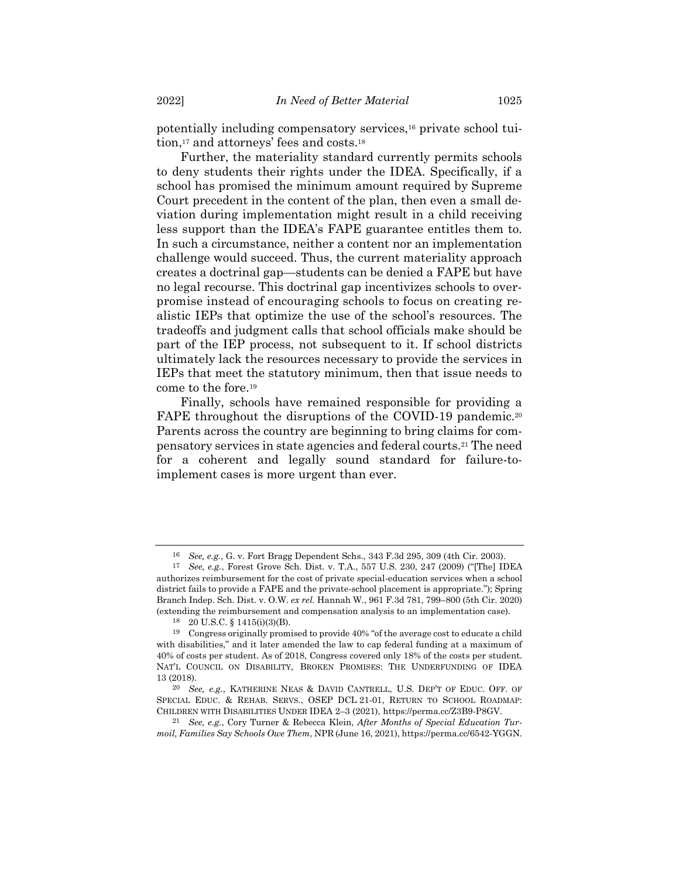potentially including compensatory services,<sup>16</sup> private school tuition,<sup>17</sup> and attorneys' fees and costs.<sup>18</sup>

Further, the materiality standard currently permits schools to deny students their rights under the IDEA. Specifically, if a school has promised the minimum amount required by Supreme Court precedent in the content of the plan, then even a small deviation during implementation might result in a child receiving less support than the IDEA's FAPE guarantee entitles them to. In such a circumstance, neither a content nor an implementation challenge would succeed. Thus, the current materiality approach creates a doctrinal gap—students can be denied a FAPE but have no legal recourse. This doctrinal gap incentivizes schools to overpromise instead of encouraging schools to focus on creating realistic IEPs that optimize the use of the school's resources. The tradeoffs and judgment calls that school officials make should be part of the IEP process, not subsequent to it. If school districts ultimately lack the resources necessary to provide the services in IEPs that meet the statutory minimum, then that issue needs to come to the fore.<sup>19</sup>

Finally, schools have remained responsible for providing a FAPE throughout the disruptions of the COVID-19 pandemic.<sup>20</sup> Parents across the country are beginning to bring claims for compensatory services in state agencies and federal courts.<sup>21</sup> The need for a coherent and legally sound standard for failure-toimplement cases is more urgent than ever.

<sup>16</sup> *See, e.g.*, G. v. Fort Bragg Dependent Schs., 343 F.3d 295, 309 (4th Cir. 2003).

<sup>17</sup> *See, e.g.*, Forest Grove Sch. Dist. v. T.A., 557 U.S. 230, 247 (2009) ("[The] IDEA authorizes reimbursement for the cost of private special-education services when a school district fails to provide a FAPE and the private-school placement is appropriate."); Spring Branch Indep. Sch. Dist. v. O.W. *ex rel.* Hannah W., 961 F.3d 781, 799–800 (5th Cir. 2020) (extending the reimbursement and compensation analysis to an implementation case).

<sup>18</sup> 20 U.S.C. § 1415(i)(3)(B).

<sup>19</sup> Congress originally promised to provide 40% "of the average cost to educate a child with disabilities," and it later amended the law to cap federal funding at a maximum of 40% of costs per student. As of 2018, Congress covered only 18% of the costs per student. NAT'L COUNCIL ON DISABILITY, BROKEN PROMISES: THE UNDERFUNDING OF IDEA 13 (2018).

<sup>20</sup> *See, e.g.*, KATHERINE NEAS & DAVID CANTRELL, U.S. DEP'T OF EDUC. OFF. OF SPECIAL EDUC. & REHAB. SERVS., OSEP DCL 21-01, RETURN TO SCHOOL ROADMAP: CHILDREN WITH DISABILITIES UNDER IDEA 2–3 (2021), https://perma.cc/Z3B9-P8GV.

<sup>21</sup> *See, e.g.*, Cory Turner & Rebecca Klein, *After Months of Special Education Turmoil, Families Say Schools Owe Them*, NPR (June 16, 2021), https://perma.cc/6542-YGGN.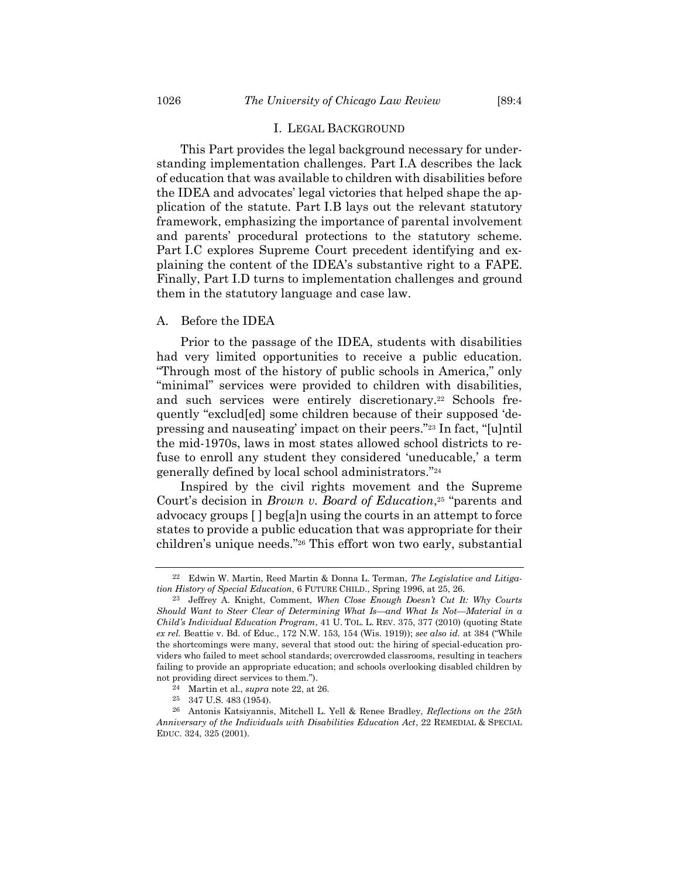#### I. LEGAL BACKGROUND

This Part provides the legal background necessary for understanding implementation challenges. Part I.A describes the lack of education that was available to children with disabilities before the IDEA and advocates' legal victories that helped shape the application of the statute. Part I.B lays out the relevant statutory framework, emphasizing the importance of parental involvement and parents' procedural protections to the statutory scheme. Part I.C explores Supreme Court precedent identifying and explaining the content of the IDEA's substantive right to a FAPE. Finally, Part I.D turns to implementation challenges and ground them in the statutory language and case law.

### A. Before the IDEA

<span id="page-5-0"></span>Prior to the passage of the IDEA, students with disabilities had very limited opportunities to receive a public education. "Through most of the history of public schools in America," only "minimal" services were provided to children with disabilities, and such services were entirely discretionary.<sup>22</sup> Schools frequently "exclud[ed] some children because of their supposed 'depressing and nauseating' impact on their peers."<sup>23</sup> In fact, "[u]ntil the mid-1970s, laws in most states allowed school districts to refuse to enroll any student they considered 'uneducable,' a term generally defined by local school administrators."<sup>24</sup>

<span id="page-5-2"></span>Inspired by the civil rights movement and the Supreme Court's decision in *Brown v. Board of Education*, <sup>25</sup> "parents and advocacy groups [ ] beg[a]n using the courts in an attempt to force states to provide a public education that was appropriate for their children's unique needs."<sup>26</sup> This effort won two early, substantial

<span id="page-5-1"></span><sup>22</sup> Edwin W. Martin, Reed Martin & Donna L. Terman, *The Legislative and Litigation History of Special Education*, 6 FUTURE CHILD., Spring 1996, at 25, 26.

<sup>23</sup> Jeffrey A. Knight, Comment, *When Close Enough Doesn't Cut It: Why Courts Should Want to Steer Clear of Determining What Is—and What Is Not—Material in a Child's Individual Education Program*, 41 U. TOL. L. REV. 375, 377 (2010) (quoting State *ex rel.* Beattie v. Bd. of Educ., 172 N.W. 153, 154 (Wis. 1919)); *see also id.* at 384 ("While the shortcomings were many, several that stood out: the hiring of special-education providers who failed to meet school standards; overcrowded classrooms, resulting in teachers failing to provide an appropriate education; and schools overlooking disabled children by not providing direct services to them.").

<sup>24</sup> Martin et al., *supra* note [22,](#page-5-0) at 26.

<sup>25</sup> 347 U.S. 483 (1954).

<sup>26</sup> Antonis Katsiyannis, Mitchell L. Yell & Renee Bradley, *Reflections on the 25th Anniversary of the Individuals with Disabilities Education Act*, 22 REMEDIAL & SPECIAL EDUC. 324, 325 (2001).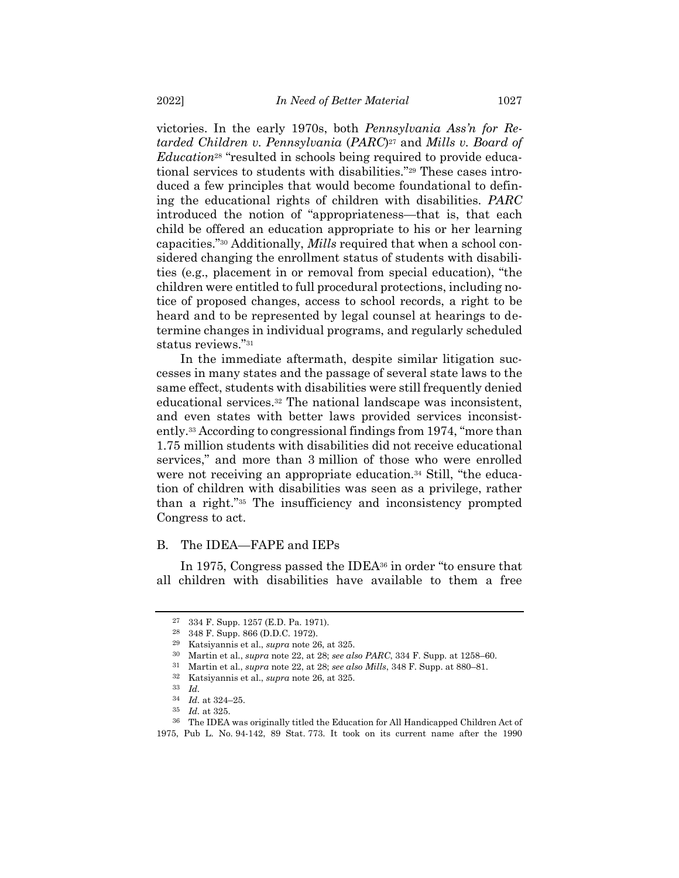victories. In the early 1970s, both *Pennsylvania Ass'n for Retarded Children v. Pennsylvania* (*PARC*) <sup>27</sup> and *Mills v. Board of Education*<sup>28</sup> "resulted in schools being required to provide educational services to students with disabilities."<sup>29</sup> These cases introduced a few principles that would become foundational to defining the educational rights of children with disabilities. *PARC* introduced the notion of "appropriateness—that is, that each child be offered an education appropriate to his or her learning capacities."<sup>30</sup> Additionally, *Mills* required that when a school considered changing the enrollment status of students with disabilities (e.g., placement in or removal from special education), "the children were entitled to full procedural protections, including notice of proposed changes, access to school records, a right to be heard and to be represented by legal counsel at hearings to determine changes in individual programs, and regularly scheduled status reviews."<sup>31</sup>

In the immediate aftermath, despite similar litigation successes in many states and the passage of several state laws to the same effect, students with disabilities were still frequently denied educational services.<sup>32</sup> The national landscape was inconsistent, and even states with better laws provided services inconsistently.<sup>33</sup> According to congressional findings from 1974, "more than 1.75 million students with disabilities did not receive educational services," and more than 3 million of those who were enrolled were not receiving an appropriate education.<sup>34</sup> Still, "the education of children with disabilities was seen as a privilege, rather than a right."<sup>35</sup> The insufficiency and inconsistency prompted Congress to act.

#### B. The IDEA—FAPE and IEPs

In 1975, Congress passed the IDEA<sup>36</sup> in order "to ensure that all children with disabilities have available to them a free

<span id="page-6-0"></span><sup>27</sup> 334 F. Supp. 1257 (E.D. Pa. 1971).

<sup>28</sup> 348 F. Supp. 866 (D.D.C. 1972).

<sup>29</sup> Katsiyannis et al., *supra* not[e 26,](#page-5-1) at 325.

<sup>30</sup> Martin et al., *supra* note [22,](#page-5-0) at 28; *see also PARC*, 334 F. Supp. at 1258–60.

<sup>31</sup> Martin et al., *supra* note [22,](#page-5-0) at 28; *see also Mills*, 348 F. Supp. at 880–81.

<sup>32</sup> Katsiyannis et al., *supra* not[e 26,](#page-5-1) at 325.

<sup>33</sup> *Id.*

<sup>34</sup> *Id.* at 324–25.

<sup>35</sup> *Id.* at 325.

<sup>36</sup> The IDEA was originally titled the Education for All Handicapped Children Act of 1975, Pub L. No. 94-142, 89 Stat. 773. It took on its current name after the 1990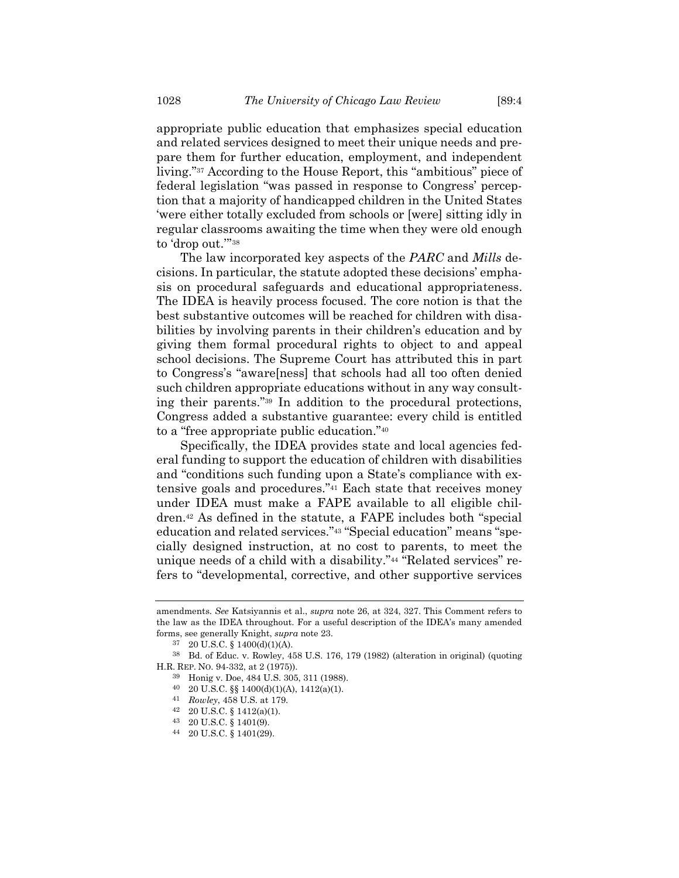appropriate public education that emphasizes special education and related services designed to meet their unique needs and prepare them for further education, employment, and independent living."<sup>37</sup> According to the House Report, this "ambitious" piece of federal legislation "was passed in response to Congress' perception that a majority of handicapped children in the United States 'were either totally excluded from schools or [were] sitting idly in regular classrooms awaiting the time when they were old enough to 'drop out.'" 38

The law incorporated key aspects of the *PARC* and *Mills* decisions. In particular, the statute adopted these decisions' emphasis on procedural safeguards and educational appropriateness. The IDEA is heavily process focused. The core notion is that the best substantive outcomes will be reached for children with disabilities by involving parents in their children's education and by giving them formal procedural rights to object to and appeal school decisions. The Supreme Court has attributed this in part to Congress's "aware[ness] that schools had all too often denied such children appropriate educations without in any way consulting their parents."<sup>39</sup> In addition to the procedural protections, Congress added a substantive guarantee: every child is entitled to a "free appropriate public education."<sup>40</sup>

Specifically, the IDEA provides state and local agencies federal funding to support the education of children with disabilities and "conditions such funding upon a State's compliance with extensive goals and procedures."<sup>41</sup> Each state that receives money under IDEA must make a FAPE available to all eligible children.<sup>42</sup> As defined in the statute, a FAPE includes both "special education and related services."<sup>43</sup> "Special education" means "specially designed instruction, at no cost to parents, to meet the unique needs of a child with a disability."<sup>44</sup> "Related services" refers to "developmental, corrective, and other supportive services

amendments. *See* Katsiyannis et al., *supra* note [26,](#page-5-1) at 324, 327. This Comment refers to the law as the IDEA throughout. For a useful description of the IDEA's many amended forms, see generally Knight, *supra* not[e 23.](#page-5-2)

<sup>37</sup> 20 U.S.C. § 1400(d)(1)(A).

<sup>38</sup> Bd. of Educ. v. Rowley, 458 U.S. 176, 179 (1982) (alteration in original) (quoting H.R. REP. NO. 94-332, at 2 (1975)).

<sup>39</sup> Honig v. Doe, 484 U.S. 305, 311 (1988).

<sup>40</sup> 20 U.S.C. §§ 1400(d)(1)(A), 1412(a)(1).

<sup>41</sup> *Rowley*, 458 U.S. at 179.

<sup>42</sup> 20 U.S.C. § 1412(a)(1).

<sup>43</sup> 20 U.S.C. § 1401(9).

<sup>44</sup> 20 U.S.C. § 1401(29).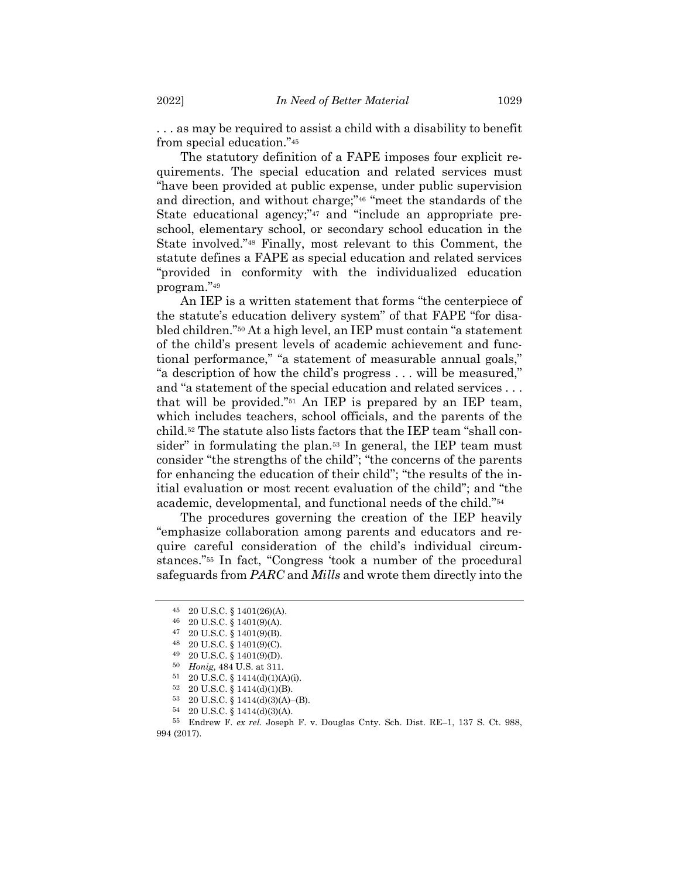. . . as may be required to assist a child with a disability to benefit from special education."<sup>45</sup>

The statutory definition of a FAPE imposes four explicit requirements. The special education and related services must "have been provided at public expense, under public supervision and direction, and without charge;"<sup>46</sup> "meet the standards of the State educational agency;"<sup>47</sup> and "include an appropriate preschool, elementary school, or secondary school education in the State involved."<sup>48</sup> Finally, most relevant to this Comment, the statute defines a FAPE as special education and related services "provided in conformity with the individualized education program."<sup>49</sup>

An IEP is a written statement that forms "the centerpiece of the statute's education delivery system" of that FAPE "for disabled children."<sup>50</sup> At a high level, an IEP must contain "a statement of the child's present levels of academic achievement and functional performance," "a statement of measurable annual goals," "a description of how the child's progress . . . will be measured," and "a statement of the special education and related services . . . that will be provided."<sup>51</sup> An IEP is prepared by an IEP team, which includes teachers, school officials, and the parents of the child.<sup>52</sup> The statute also lists factors that the IEP team "shall consider" in formulating the plan.<sup>53</sup> In general, the IEP team must consider "the strengths of the child"; "the concerns of the parents for enhancing the education of their child"; "the results of the initial evaluation or most recent evaluation of the child"; and "the academic, developmental, and functional needs of the child."<sup>54</sup>

The procedures governing the creation of the IEP heavily "emphasize collaboration among parents and educators and require careful consideration of the child's individual circumstances."<sup>55</sup> In fact, "Congress 'took a number of the procedural safeguards from *PARC* and *Mills* and wrote them directly into the

<sup>45</sup> 20 U.S.C. § 1401(26)(A).

<sup>46</sup> 20 U.S.C. § 1401(9)(A).

<sup>47</sup> 20 U.S.C. § 1401(9)(B).

<sup>48</sup> 20 U.S.C. § 1401(9)(C).

<sup>49</sup> 20 U.S.C. § 1401(9)(D).

<sup>50</sup> *Honig*, 484 U.S. at 311.

<sup>51</sup> 20 U.S.C. § 1414(d)(1)(A)(i).

<sup>52</sup> 20 U.S.C. § 1414(d)(1)(B).

<sup>53</sup> 20 U.S.C. § 1414(d)(3)(A)–(B).

<sup>54</sup> 20 U.S.C. § 1414(d)(3)(A).

<sup>55</sup> Endrew F. *ex rel.* Joseph F. v. Douglas Cnty. Sch. Dist. RE–1, 137 S. Ct. 988, 994 (2017).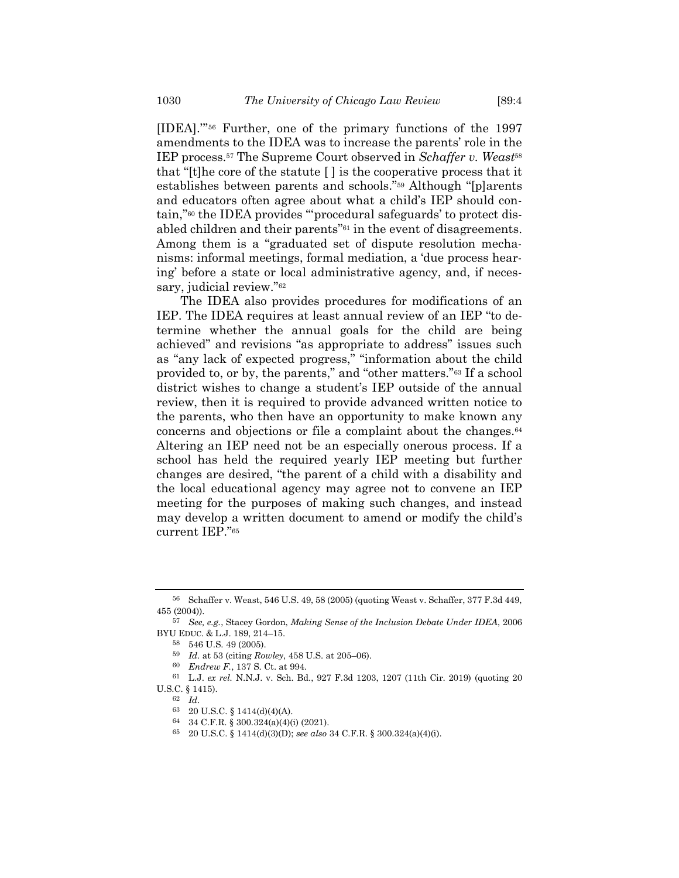[IDEA].'" <sup>56</sup> Further, one of the primary functions of the 1997 amendments to the IDEA was to increase the parents' role in the IEP process.<sup>57</sup> The Supreme Court observed in *Schaffer v. Weast*<sup>58</sup> that "[t]he core of the statute [ ] is the cooperative process that it establishes between parents and schools."<sup>59</sup> Although "[p]arents and educators often agree about what a child's IEP should contain,"<sup>60</sup> the IDEA provides "'procedural safeguards' to protect disabled children and their parents"<sup>61</sup> in the event of disagreements. Among them is a "graduated set of dispute resolution mechanisms: informal meetings, formal mediation, a 'due process hearing' before a state or local administrative agency, and, if necessary, judicial review."<sup>62</sup>

The IDEA also provides procedures for modifications of an IEP. The IDEA requires at least annual review of an IEP "to determine whether the annual goals for the child are being achieved" and revisions "as appropriate to address" issues such as "any lack of expected progress," "information about the child provided to, or by, the parents," and "other matters."<sup>63</sup> If a school district wishes to change a student's IEP outside of the annual review, then it is required to provide advanced written notice to the parents, who then have an opportunity to make known any concerns and objections or file a complaint about the changes.<sup>64</sup> Altering an IEP need not be an especially onerous process. If a school has held the required yearly IEP meeting but further changes are desired, "the parent of a child with a disability and the local educational agency may agree not to convene an IEP meeting for the purposes of making such changes, and instead may develop a written document to amend or modify the child's current IEP."<sup>65</sup>

<sup>56</sup> Schaffer v. Weast, 546 U.S. 49, 58 (2005) (quoting Weast v. Schaffer, 377 F.3d 449, 455 (2004)).

<sup>57</sup> *See, e.g.*, Stacey Gordon, *Making Sense of the Inclusion Debate Under IDEA*, 2006 BYU EDUC. & L.J. 189, 214–15.

<sup>58</sup> 546 U.S. 49 (2005).

<sup>59</sup> *Id.* at 53 (citing *Rowley*, 458 U.S. at 205–06).

<sup>60</sup> *Endrew F.*, 137 S. Ct. at 994.

<sup>61</sup> L.J. *ex rel.* N.N.J. v. Sch. Bd., 927 F.3d 1203, 1207 (11th Cir. 2019) (quoting 20 U.S.C. § 1415).

<sup>62</sup> *Id.*

<sup>63</sup> 20 U.S.C. § 1414(d)(4)(A).

<sup>64</sup> 34 C.F.R. § 300.324(a)(4)(i) (2021).

<sup>65</sup> 20 U.S.C. § 1414(d)(3)(D); *see also* 34 C.F.R. § 300.324(a)(4)(i).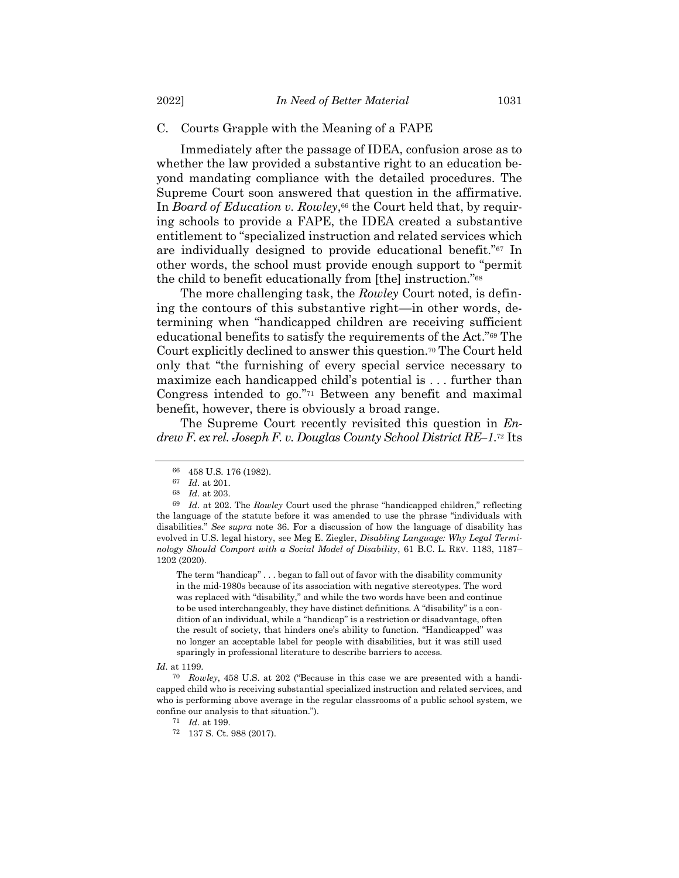#### C. Courts Grapple with the Meaning of a FAPE

Immediately after the passage of IDEA, confusion arose as to whether the law provided a substantive right to an education beyond mandating compliance with the detailed procedures. The Supreme Court soon answered that question in the affirmative. In *Board of Education v. Rowley*,<sup>66</sup> the Court held that, by requiring schools to provide a FAPE, the IDEA created a substantive entitlement to "specialized instruction and related services which are individually designed to provide educational benefit."<sup>67</sup> In other words, the school must provide enough support to "permit the child to benefit educationally from [the] instruction."<sup>68</sup>

The more challenging task, the *Rowley* Court noted, is defining the contours of this substantive right—in other words, determining when "handicapped children are receiving sufficient educational benefits to satisfy the requirements of the Act."<sup>69</sup> The Court explicitly declined to answer this question.<sup>70</sup> The Court held only that "the furnishing of every special service necessary to maximize each handicapped child's potential is . . . further than Congress intended to go."<sup>71</sup> Between any benefit and maximal benefit, however, there is obviously a broad range.

The Supreme Court recently revisited this question in *Endrew F. ex rel. Joseph F. v. Douglas County School District RE–1*. <sup>72</sup> Its

The term "handicap" . . . began to fall out of favor with the disability community in the mid-1980s because of its association with negative stereotypes. The word was replaced with "disability," and while the two words have been and continue to be used interchangeably, they have distinct definitions. A "disability" is a condition of an individual, while a "handicap" is a restriction or disadvantage, often the result of society, that hinders one's ability to function. "Handicapped" was no longer an acceptable label for people with disabilities, but it was still used sparingly in professional literature to describe barriers to access.

<sup>66</sup> 458 U.S. 176 (1982).

 $\begin{array}{cc} 67 & Id. \text{ at } 201. \\ 68 & Id. \text{ at } 203. \end{array}$ 

*Id.* at 203.

<sup>69</sup> *Id.* at 202. The *Rowley* Court used the phrase "handicapped children," reflecting the language of the statute before it was amended to use the phrase "individuals with disabilities." *See supra* note [36.](#page-6-0) For a discussion of how the language of disability has evolved in U.S. legal history, see Meg E. Ziegler, *Disabling Language: Why Legal Terminology Should Comport with a Social Model of Disability*, 61 B.C. L. REV. 1183, 1187– 1202 (2020).

*Id.* at 1199.

<sup>70</sup> *Rowley*, 458 U.S. at 202 ("Because in this case we are presented with a handicapped child who is receiving substantial specialized instruction and related services, and who is performing above average in the regular classrooms of a public school system, we confine our analysis to that situation.").

<sup>71</sup> *Id.* at 199.

<sup>72</sup> 137 S. Ct. 988 (2017).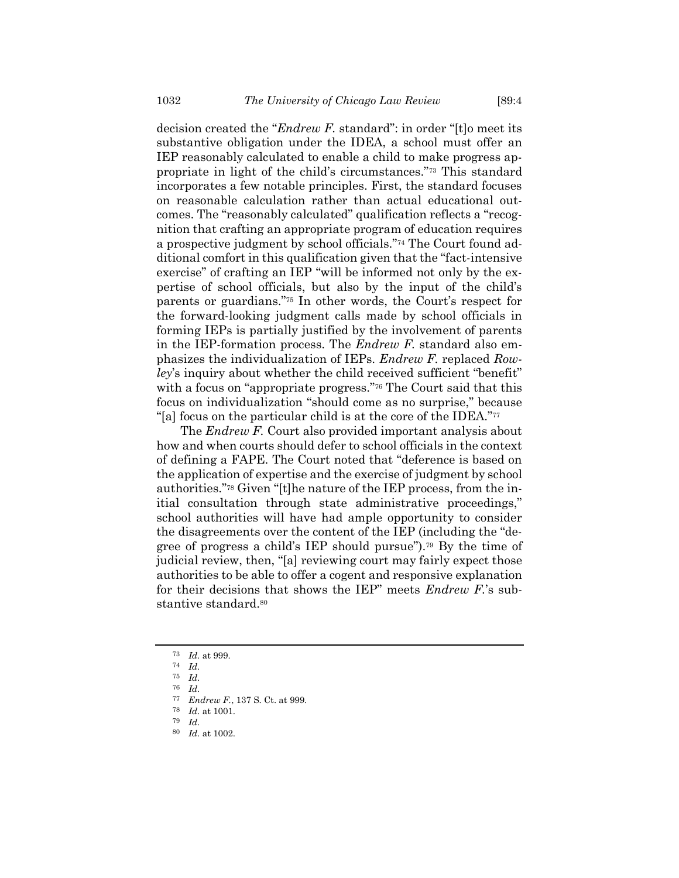decision created the "*Endrew F.* standard": in order "[t]o meet its substantive obligation under the IDEA, a school must offer an IEP reasonably calculated to enable a child to make progress appropriate in light of the child's circumstances."<sup>73</sup> This standard incorporates a few notable principles. First, the standard focuses on reasonable calculation rather than actual educational outcomes. The "reasonably calculated" qualification reflects a "recognition that crafting an appropriate program of education requires a prospective judgment by school officials."<sup>74</sup> The Court found additional comfort in this qualification given that the "fact-intensive exercise" of crafting an IEP "will be informed not only by the expertise of school officials, but also by the input of the child's parents or guardians."<sup>75</sup> In other words, the Court's respect for the forward-looking judgment calls made by school officials in forming IEPs is partially justified by the involvement of parents in the IEP-formation process. The *Endrew F.* standard also emphasizes the individualization of IEPs. *Endrew F.* replaced *Rowley*'s inquiry about whether the child received sufficient "benefit" with a focus on "appropriate progress."<sup>76</sup> The Court said that this focus on individualization "should come as no surprise," because "[a] focus on the particular child is at the core of the IDEA."<sup>77</sup>

The *Endrew F.* Court also provided important analysis about how and when courts should defer to school officials in the context of defining a FAPE. The Court noted that "deference is based on the application of expertise and the exercise of judgment by school authorities."<sup>78</sup> Given "[t]he nature of the IEP process, from the initial consultation through state administrative proceedings," school authorities will have had ample opportunity to consider the disagreements over the content of the IEP (including the "degree of progress a child's IEP should pursue").<sup>79</sup> By the time of judicial review, then, "[a] reviewing court may fairly expect those authorities to be able to offer a cogent and responsive explanation for their decisions that shows the IEP" meets *Endrew F.*'s substantive standard.<sup>80</sup>

<sup>73</sup> *Id.* at 999.

<sup>74</sup> *Id.*

<sup>75</sup> *Id.*

<sup>76</sup> *Id.*

<sup>77</sup> *Endrew F.*, 137 S. Ct. at 999.

<sup>78</sup> *Id.* at 1001.

<sup>79</sup> *Id.*

<sup>80</sup> *Id.* at 1002.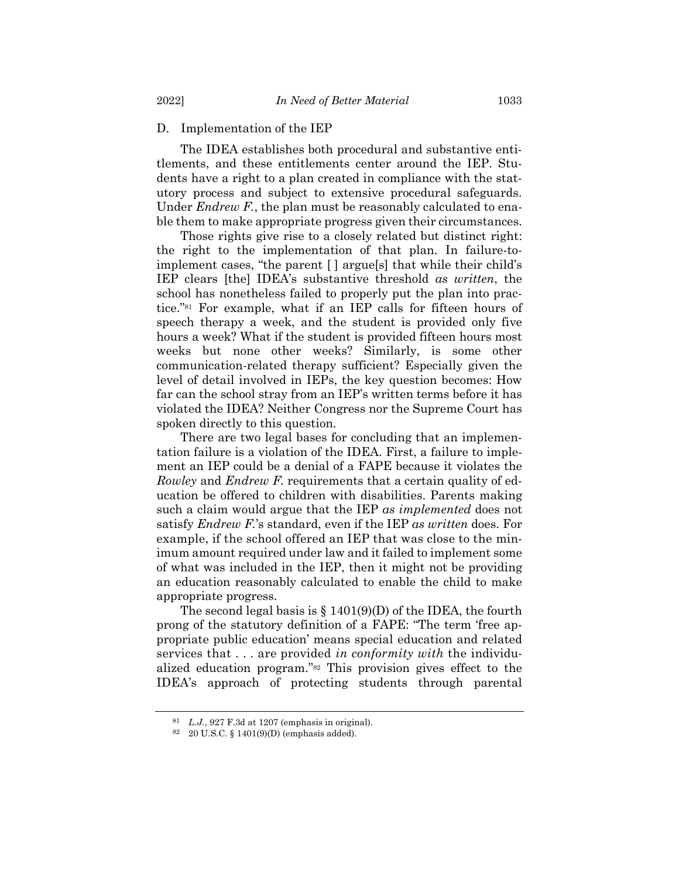### D. Implementation of the IEP

The IDEA establishes both procedural and substantive entitlements, and these entitlements center around the IEP. Students have a right to a plan created in compliance with the statutory process and subject to extensive procedural safeguards. Under *Endrew F.*, the plan must be reasonably calculated to enable them to make appropriate progress given their circumstances.

Those rights give rise to a closely related but distinct right: the right to the implementation of that plan. In failure-toimplement cases, "the parent [ ] argue[s] that while their child's IEP clears [the] IDEA's substantive threshold *as written*, the school has nonetheless failed to properly put the plan into practice."<sup>81</sup> For example, what if an IEP calls for fifteen hours of speech therapy a week, and the student is provided only five hours a week? What if the student is provided fifteen hours most weeks but none other weeks? Similarly, is some other communication-related therapy sufficient? Especially given the level of detail involved in IEPs, the key question becomes: How far can the school stray from an IEP's written terms before it has violated the IDEA? Neither Congress nor the Supreme Court has spoken directly to this question.

There are two legal bases for concluding that an implementation failure is a violation of the IDEA. First, a failure to implement an IEP could be a denial of a FAPE because it violates the *Rowley* and *Endrew F.* requirements that a certain quality of education be offered to children with disabilities. Parents making such a claim would argue that the IEP *as implemented* does not satisfy *Endrew F.*'s standard, even if the IEP *as written* does. For example, if the school offered an IEP that was close to the minimum amount required under law and it failed to implement some of what was included in the IEP, then it might not be providing an education reasonably calculated to enable the child to make appropriate progress.

The second legal basis is  $\S$  1401(9)(D) of the IDEA, the fourth prong of the statutory definition of a FAPE: "The term 'free appropriate public education' means special education and related services that . . . are provided *in conformity with* the individualized education program."<sup>82</sup> This provision gives effect to the IDEA's approach of protecting students through parental

<sup>81</sup> *L.J.*, 927 F.3d at 1207 (emphasis in original).

<sup>82</sup> 20 U.S.C. § 1401(9)(D) (emphasis added).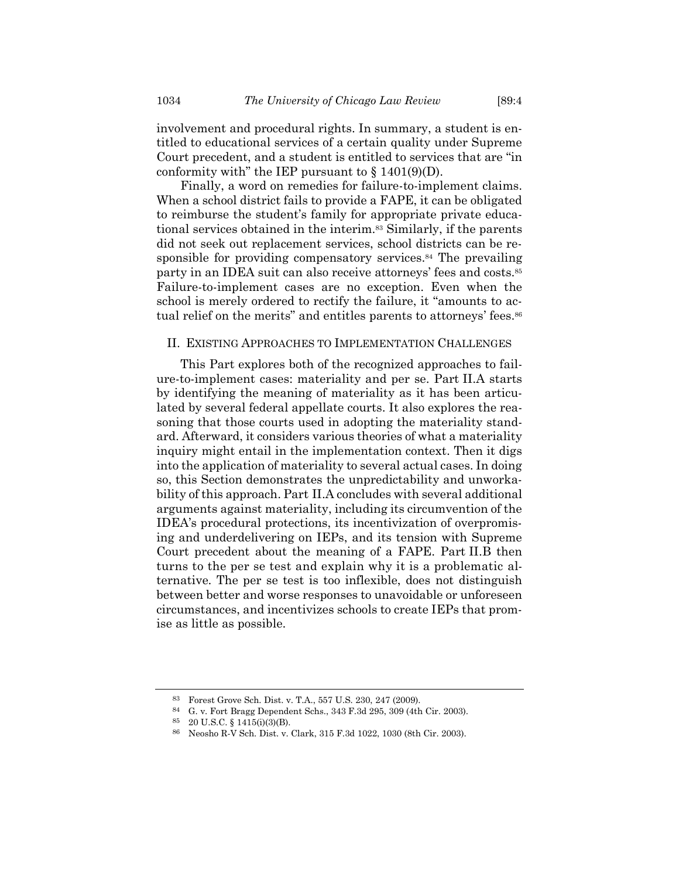involvement and procedural rights. In summary, a student is entitled to educational services of a certain quality under Supreme Court precedent, and a student is entitled to services that are "in conformity with" the IEP pursuant to  $\S$  1401(9)(D).

Finally, a word on remedies for failure-to-implement claims. When a school district fails to provide a FAPE, it can be obligated to reimburse the student's family for appropriate private educational services obtained in the interim.<sup>83</sup> Similarly, if the parents did not seek out replacement services, school districts can be responsible for providing compensatory services.<sup>84</sup> The prevailing party in an IDEA suit can also receive attorneys' fees and costs.<sup>85</sup> Failure-to-implement cases are no exception. Even when the school is merely ordered to rectify the failure, it "amounts to actual relief on the merits" and entitles parents to attorneys' fees.<sup>86</sup>

#### II. EXISTING APPROACHES TO IMPLEMENTATION CHALLENGES

This Part explores both of the recognized approaches to failure-to-implement cases: materiality and per se. Part II.A starts by identifying the meaning of materiality as it has been articulated by several federal appellate courts. It also explores the reasoning that those courts used in adopting the materiality standard. Afterward, it considers various theories of what a materiality inquiry might entail in the implementation context. Then it digs into the application of materiality to several actual cases. In doing so, this Section demonstrates the unpredictability and unworkability of this approach. Part II.A concludes with several additional arguments against materiality, including its circumvention of the IDEA's procedural protections, its incentivization of overpromising and underdelivering on IEPs, and its tension with Supreme Court precedent about the meaning of a FAPE. Part II.B then turns to the per se test and explain why it is a problematic alternative. The per se test is too inflexible, does not distinguish between better and worse responses to unavoidable or unforeseen circumstances, and incentivizes schools to create IEPs that promise as little as possible.

<sup>83</sup> Forest Grove Sch. Dist. v. T.A., 557 U.S. 230, 247 (2009).

<sup>84</sup> G. v. Fort Bragg Dependent Schs., 343 F.3d 295, 309 (4th Cir. 2003).

<sup>85</sup> 20 U.S.C. § 1415(i)(3)(B).

<sup>86</sup> Neosho R-V Sch. Dist. v. Clark, 315 F.3d 1022, 1030 (8th Cir. 2003).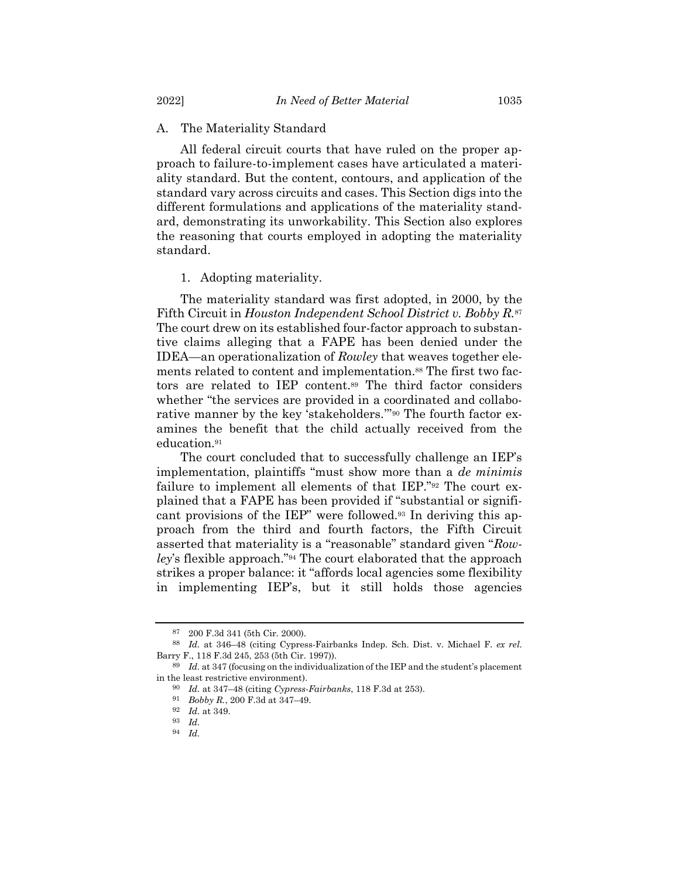# A. The Materiality Standard

All federal circuit courts that have ruled on the proper approach to failure-to-implement cases have articulated a materiality standard. But the content, contours, and application of the standard vary across circuits and cases. This Section digs into the different formulations and applications of the materiality standard, demonstrating its unworkability. This Section also explores the reasoning that courts employed in adopting the materiality standard.

### 1. Adopting materiality.

The materiality standard was first adopted, in 2000, by the Fifth Circuit in *Houston Independent School District v. Bobby R.*<sup>87</sup> The court drew on its established four-factor approach to substantive claims alleging that a FAPE has been denied under the IDEA—an operationalization of *Rowley* that weaves together elements related to content and implementation.<sup>88</sup> The first two factors are related to IEP content.<sup>89</sup> The third factor considers whether "the services are provided in a coordinated and collaborative manner by the key 'stakeholders.'" <sup>90</sup> The fourth factor examines the benefit that the child actually received from the education. 91

The court concluded that to successfully challenge an IEP's implementation, plaintiffs "must show more than a *de minimis* failure to implement all elements of that IEP."<sup>92</sup> The court explained that a FAPE has been provided if "substantial or significant provisions of the IEP" were followed.<sup>93</sup> In deriving this approach from the third and fourth factors, the Fifth Circuit asserted that materiality is a "reasonable" standard given "*Rowley*'s flexible approach."<sup>94</sup> The court elaborated that the approach strikes a proper balance: it "affords local agencies some flexibility in implementing IEP's, but it still holds those agencies

<sup>87</sup> 200 F.3d 341 (5th Cir. 2000).

<sup>88</sup> *Id.* at 346–48 (citing Cypress-Fairbanks Indep. Sch. Dist. v. Michael F. *ex rel.* Barry F., 118 F.3d 245, 253 (5th Cir. 1997)).

<sup>89</sup> *Id.* at 347 (focusing on the individualization of the IEP and the student's placement in the least restrictive environment).

<sup>90</sup> *Id.* at 347–48 (citing *Cypress-Fairbanks*, 118 F.3d at 253).

<sup>91</sup> *Bobby R.*, 200 F.3d at 347–49.

<sup>92</sup> *Id.* at 349.

<sup>93</sup> *Id.*

<sup>94</sup> *Id.*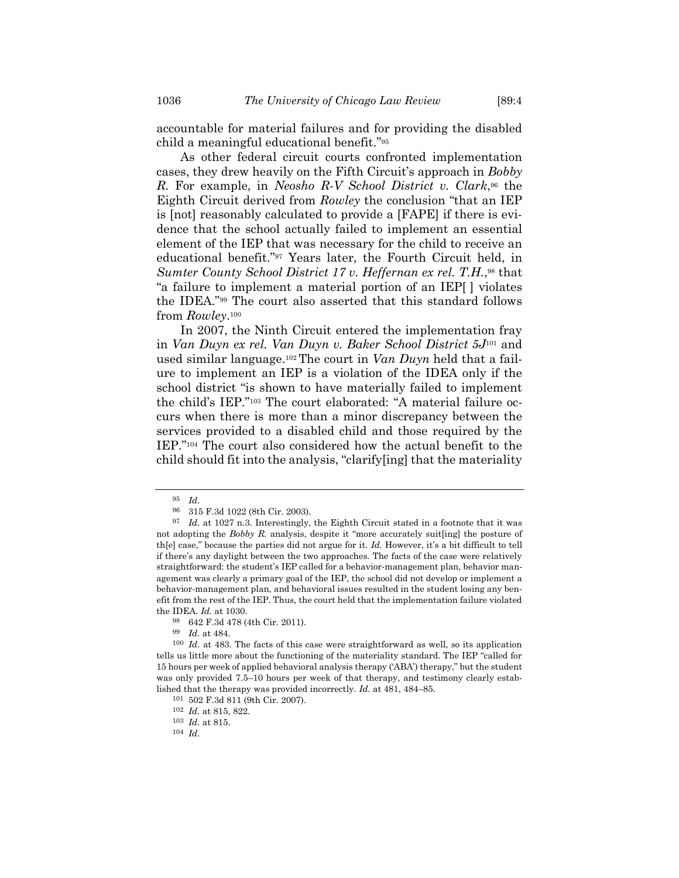accountable for material failures and for providing the disabled child a meaningful educational benefit."<sup>95</sup>

As other federal circuit courts confronted implementation cases, they drew heavily on the Fifth Circuit's approach in *Bobby R.* For example, in *Neosho R-V School District v. Clark*, <sup>96</sup> the Eighth Circuit derived from *Rowley* the conclusion "that an IEP is [not] reasonably calculated to provide a [FAPE] if there is evidence that the school actually failed to implement an essential element of the IEP that was necessary for the child to receive an educational benefit."<sup>97</sup> Years later, the Fourth Circuit held, in *Sumter County School District 17 v. Heffernan ex rel. T.H.*, <sup>98</sup> that "a failure to implement a material portion of an IEP[ ] violates the IDEA."<sup>99</sup> The court also asserted that this standard follows from *Rowley*. 100

In 2007, the Ninth Circuit entered the implementation fray in *Van Duyn ex rel. Van Duyn v. Baker School District 5J*<sup>101</sup> and used similar language.<sup>102</sup> The court in *Van Duyn* held that a failure to implement an IEP is a violation of the IDEA only if the school district "is shown to have materially failed to implement the child's IEP."<sup>103</sup> The court elaborated: "A material failure occurs when there is more than a minor discrepancy between the services provided to a disabled child and those required by the IEP."<sup>104</sup> The court also considered how the actual benefit to the child should fit into the analysis, "clarify[ing] that the materiality

 $\frac{95}{96}$  *Id.* 

<sup>96</sup> 315 F.3d 1022 (8th Cir. 2003).

<sup>97</sup> *Id.* at 1027 n.3. Interestingly, the Eighth Circuit stated in a footnote that it was not adopting the *Bobby R.* analysis, despite it "more accurately suit[ing] the posture of th[e] case," because the parties did not argue for it. *Id.* However, it's a bit difficult to tell if there's any daylight between the two approaches. The facts of the case were relatively straightforward: the student's IEP called for a behavior-management plan, behavior management was clearly a primary goal of the IEP, the school did not develop or implement a behavior-management plan, and behavioral issues resulted in the student losing any benefit from the rest of the IEP. Thus, the court held that the implementation failure violated the IDEA. *Id.* at 1030.

<sup>98</sup> 642 F.3d 478 (4th Cir. 2011).

<sup>99</sup> *Id.* at 484.

<sup>100</sup> *Id.* at 483. The facts of this case were straightforward as well, so its application tells us little more about the functioning of the materiality standard. The IEP "called for 15 hours per week of applied behavioral analysis therapy ('ABA') therapy," but the student was only provided 7.5–10 hours per week of that therapy, and testimony clearly established that the therapy was provided incorrectly. *Id.* at 481, 484–85.

<sup>101</sup> 502 F.3d 811 (9th Cir. 2007).

<sup>102</sup> *Id.* at 815, 822.

<sup>103</sup> *Id.* at 815.

<sup>104</sup> *Id.*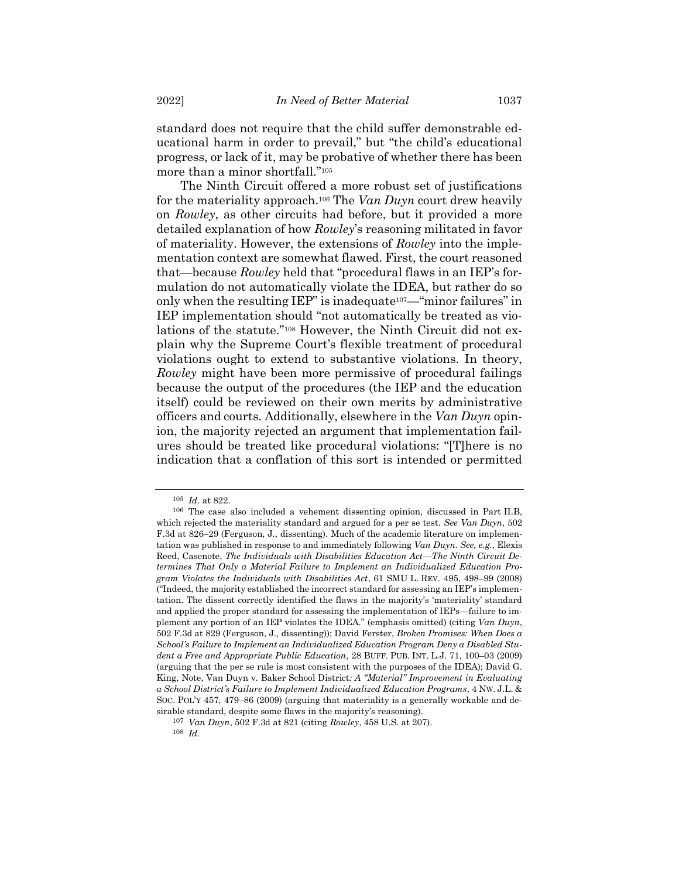standard does not require that the child suffer demonstrable educational harm in order to prevail," but "the child's educational progress, or lack of it, may be probative of whether there has been more than a minor shortfall."<sup>105</sup>

<span id="page-16-0"></span>The Ninth Circuit offered a more robust set of justifications for the materiality approach.<sup>106</sup> The *Van Duyn* court drew heavily on *Rowley*, as other circuits had before, but it provided a more detailed explanation of how *Rowley*'s reasoning militated in favor of materiality. However, the extensions of *Rowley* into the implementation context are somewhat flawed. First, the court reasoned that—because *Rowley* held that "procedural flaws in an IEP's formulation do not automatically violate the IDEA, but rather do so only when the resulting IEP" is inadequate107—"minor failures" in IEP implementation should "not automatically be treated as violations of the statute."<sup>108</sup> However, the Ninth Circuit did not explain why the Supreme Court's flexible treatment of procedural violations ought to extend to substantive violations. In theory, *Rowley* might have been more permissive of procedural failings because the output of the procedures (the IEP and the education itself) could be reviewed on their own merits by administrative officers and courts. Additionally, elsewhere in the *Van Duyn* opinion, the majority rejected an argument that implementation failures should be treated like procedural violations: "[T]here is no indication that a conflation of this sort is intended or permitted

<sup>105</sup> *Id.* at 822.

<sup>106</sup> The case also included a vehement dissenting opinion, discussed in Part II.B, which rejected the materiality standard and argued for a per se test. *See Van Duyn*, 502 F.3d at 826–29 (Ferguson, J., dissenting). Much of the academic literature on implementation was published in response to and immediately following *Van Duyn*. *See, e.g.*, Elexis Reed, Casenote, *The Individuals with Disabilities Education Act—The Ninth Circuit Determines That Only a Material Failure to Implement an Individualized Education Program Violates the Individuals with Disabilities Act*, 61 SMU L. REV. 495, 498–99 (2008) ("Indeed, the majority established the incorrect standard for assessing an IEP's implementation. The dissent correctly identified the flaws in the majority's 'materiality' standard and applied the proper standard for assessing the implementation of IEPs—failure to implement any portion of an IEP violates the IDEA." (emphasis omitted) (citing *Van Duyn*, 502 F.3d at 829 (Ferguson, J., dissenting)); David Ferster, *Broken Promises: When Does a School's Failure to Implement an Individualized Education Program Deny a Disabled Student a Free and Appropriate Public Education*, 28 BUFF. PUB. INT. L.J. 71, 100–03 (2009) (arguing that the per se rule is most consistent with the purposes of the IDEA); David G. King, Note, Van Duyn v. Baker School District*: A "Material" Improvement in Evaluating a School District's Failure to Implement Individualized Education Programs*, 4 NW. J.L. & SOC. POL'Y 457, 479–86 (2009) (arguing that materiality is a generally workable and desirable standard, despite some flaws in the majority's reasoning).

<sup>107</sup> *Van Duyn*, 502 F.3d at 821 (citing *Rowley*, 458 U.S. at 207).

<sup>108</sup> *Id.*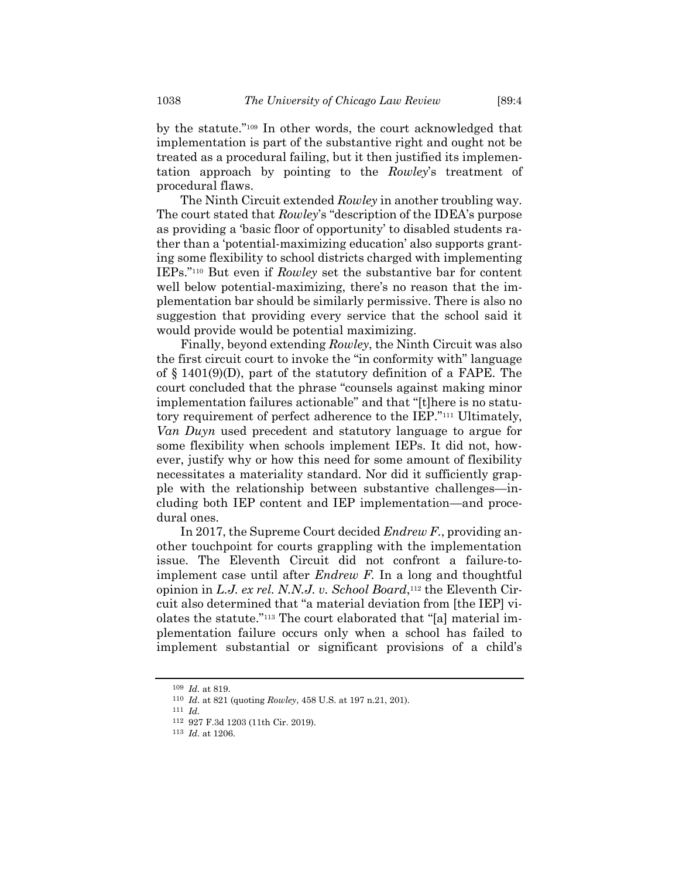by the statute."<sup>109</sup> In other words, the court acknowledged that implementation is part of the substantive right and ought not be treated as a procedural failing, but it then justified its implementation approach by pointing to the *Rowley*'s treatment of procedural flaws.

The Ninth Circuit extended *Rowley* in another troubling way. The court stated that *Rowley*'s "description of the IDEA's purpose as providing a 'basic floor of opportunity' to disabled students rather than a 'potential-maximizing education' also supports granting some flexibility to school districts charged with implementing IEPs."<sup>110</sup> But even if *Rowley* set the substantive bar for content well below potential-maximizing, there's no reason that the implementation bar should be similarly permissive. There is also no suggestion that providing every service that the school said it would provide would be potential maximizing.

Finally, beyond extending *Rowley*, the Ninth Circuit was also the first circuit court to invoke the "in conformity with" language of § 1401(9)(D), part of the statutory definition of a FAPE. The court concluded that the phrase "counsels against making minor implementation failures actionable" and that "[t]here is no statutory requirement of perfect adherence to the IEP."<sup>111</sup> Ultimately, *Van Duyn* used precedent and statutory language to argue for some flexibility when schools implement IEPs. It did not, however, justify why or how this need for some amount of flexibility necessitates a materiality standard. Nor did it sufficiently grapple with the relationship between substantive challenges—including both IEP content and IEP implementation—and procedural ones.

In 2017, the Supreme Court decided *Endrew F.*, providing another touchpoint for courts grappling with the implementation issue. The Eleventh Circuit did not confront a failure-toimplement case until after *Endrew F.* In a long and thoughtful opinion in *L.J. ex rel. N.N.J. v. School Board*, <sup>112</sup> the Eleventh Circuit also determined that "a material deviation from [the IEP] violates the statute."<sup>113</sup> The court elaborated that "[a] material implementation failure occurs only when a school has failed to implement substantial or significant provisions of a child's

<sup>109</sup> *Id.* at 819.

<sup>110</sup> *Id.* at 821 (quoting *Rowley*, 458 U.S. at 197 n.21, 201).

<sup>111</sup> *Id.*

<sup>112</sup> 927 F.3d 1203 (11th Cir. 2019).

<sup>113</sup> *Id.* at 1206.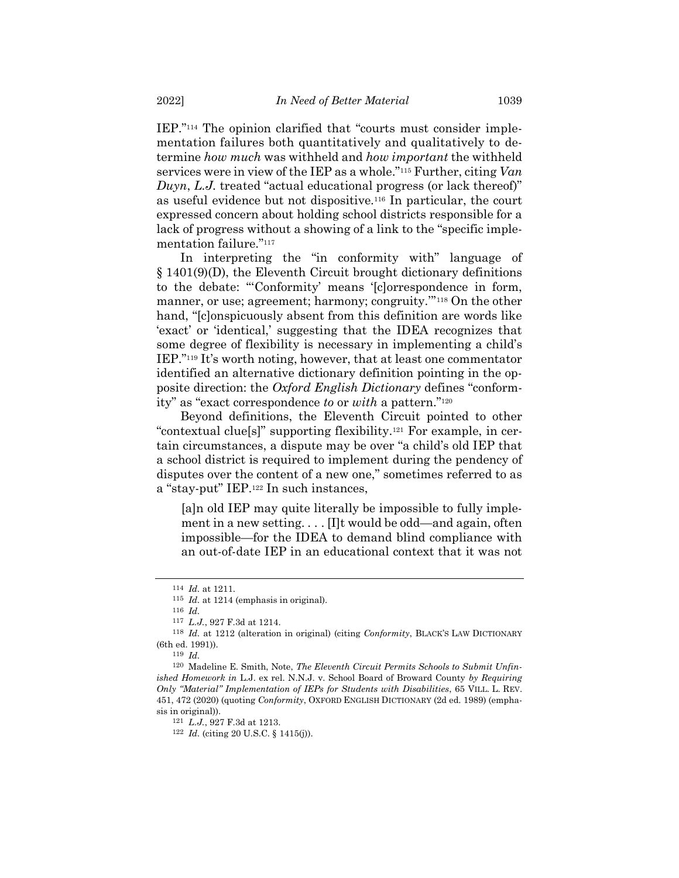IEP."<sup>114</sup> The opinion clarified that "courts must consider implementation failures both quantitatively and qualitatively to determine *how much* was withheld and *how important* the withheld services were in view of the IEP as a whole."<sup>115</sup> Further, citing *Van Duyn*, *L.J.* treated "actual educational progress (or lack thereof)" as useful evidence but not dispositive.<sup>116</sup> In particular, the court expressed concern about holding school districts responsible for a lack of progress without a showing of a link to the "specific implementation failure."<sup>117</sup>

In interpreting the "in conformity with" language of § 1401(9)(D), the Eleventh Circuit brought dictionary definitions to the debate: "'Conformity' means '[c]orrespondence in form, manner, or use; agreement; harmony; congruity.'" <sup>118</sup> On the other hand, "[c]onspicuously absent from this definition are words like 'exact' or 'identical,' suggesting that the IDEA recognizes that some degree of flexibility is necessary in implementing a child's IEP."<sup>119</sup> It's worth noting, however, that at least one commentator identified an alternative dictionary definition pointing in the opposite direction: the *Oxford English Dictionary* defines "conformity" as "exact correspondence *to* or *with* a pattern."<sup>120</sup>

Beyond definitions, the Eleventh Circuit pointed to other "contextual clue[s]" supporting flexibility.<sup>121</sup> For example, in certain circumstances, a dispute may be over "a child's old IEP that a school district is required to implement during the pendency of disputes over the content of a new one," sometimes referred to as a "stay-put" IEP.<sup>122</sup> In such instances,

<span id="page-18-0"></span>[a]n old IEP may quite literally be impossible to fully implement in a new setting. . . . [I]t would be odd—and again, often impossible—for the IDEA to demand blind compliance with an out-of-date IEP in an educational context that it was not

<sup>114</sup> *Id.* at 1211.

<sup>115</sup> *Id.* at 1214 (emphasis in original).

<sup>116</sup> *Id.*

<sup>117</sup> *L.J.*, 927 F.3d at 1214.

<sup>118</sup> *Id.* at 1212 (alteration in original) (citing *Conformity*, BLACK'S LAW DICTIONARY (6th ed. 1991)).

<sup>119</sup> *Id.*

<sup>120</sup> Madeline E. Smith, Note, *The Eleventh Circuit Permits Schools to Submit Unfinished Homework in* L.J. ex rel. N.N.J. v. School Board of Broward County *by Requiring Only "Material" Implementation of IEPs for Students with Disabilities*, 65 VILL. L. REV. 451, 472 (2020) (quoting *Conformity*, OXFORD ENGLISH DICTIONARY (2d ed. 1989) (emphasis in original)).

<sup>121</sup> *L.J.*, 927 F.3d at 1213.

<sup>122</sup> *Id.* (citing 20 U.S.C. § 1415(j)).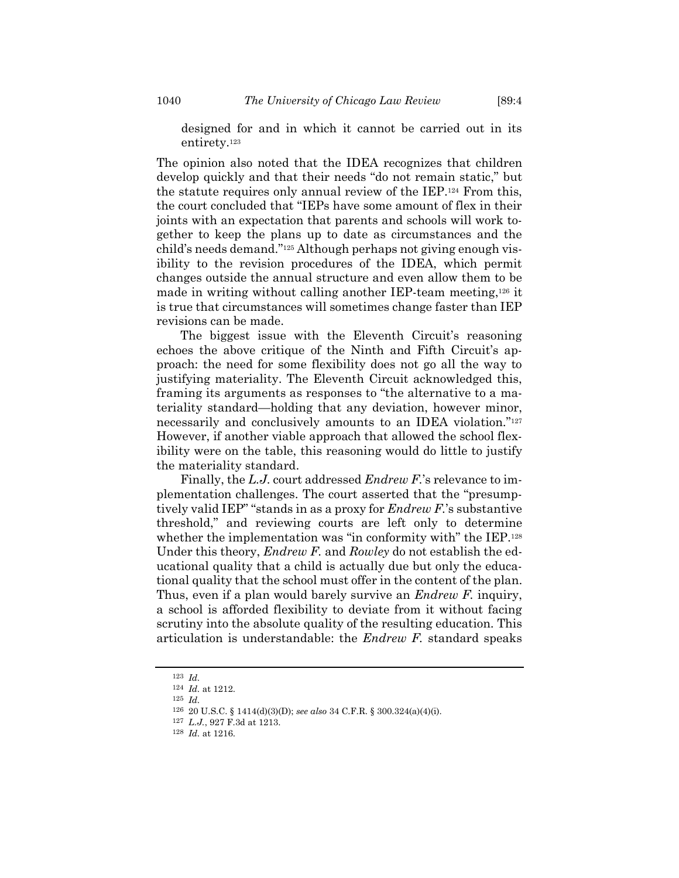designed for and in which it cannot be carried out in its entirety. 123

The opinion also noted that the IDEA recognizes that children develop quickly and that their needs "do not remain static," but the statute requires only annual review of the IEP.<sup>124</sup> From this, the court concluded that "IEPs have some amount of flex in their joints with an expectation that parents and schools will work together to keep the plans up to date as circumstances and the child's needs demand."<sup>125</sup> Although perhaps not giving enough visibility to the revision procedures of the IDEA, which permit changes outside the annual structure and even allow them to be made in writing without calling another IEP-team meeting,<sup>126</sup> it is true that circumstances will sometimes change faster than IEP revisions can be made.

The biggest issue with the Eleventh Circuit's reasoning echoes the above critique of the Ninth and Fifth Circuit's approach: the need for some flexibility does not go all the way to justifying materiality. The Eleventh Circuit acknowledged this, framing its arguments as responses to "the alternative to a materiality standard—holding that any deviation, however minor, necessarily and conclusively amounts to an IDEA violation."<sup>127</sup> However, if another viable approach that allowed the school flexibility were on the table, this reasoning would do little to justify the materiality standard.

Finally, the *L.J.* court addressed *Endrew F.*'s relevance to implementation challenges. The court asserted that the "presumptively valid IEP" "stands in as a proxy for *Endrew F.*'s substantive threshold," and reviewing courts are left only to determine whether the implementation was "in conformity with" the IEP.<sup>128</sup> Under this theory, *Endrew F.* and *Rowley* do not establish the educational quality that a child is actually due but only the educational quality that the school must offer in the content of the plan. Thus, even if a plan would barely survive an *Endrew F.* inquiry, a school is afforded flexibility to deviate from it without facing scrutiny into the absolute quality of the resulting education. This articulation is understandable: the *Endrew F.* standard speaks

<sup>123</sup> *Id.*

<sup>124</sup> *Id.* at 1212.

<sup>125</sup> *Id.*

<sup>126</sup> 20 U.S.C. § 1414(d)(3)(D); *see also* 34 C.F.R. § 300.324(a)(4)(i).

<sup>127</sup> *L.J.*, 927 F.3d at 1213.

<sup>128</sup> *Id.* at 1216.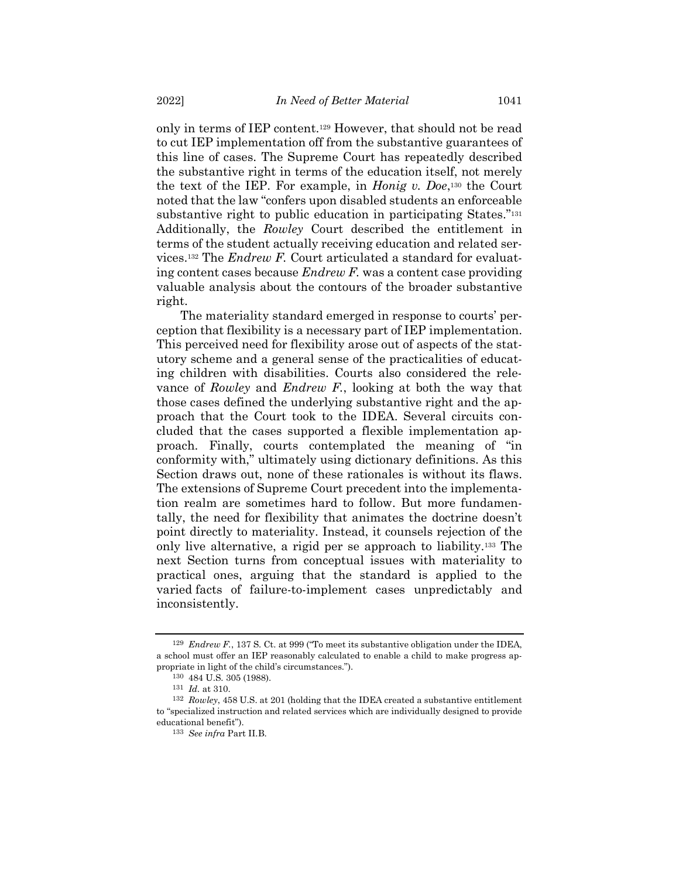only in terms of IEP content.<sup>129</sup> However, that should not be read to cut IEP implementation off from the substantive guarantees of this line of cases. The Supreme Court has repeatedly described the substantive right in terms of the education itself, not merely the text of the IEP. For example, in *Honig v. Doe*, <sup>130</sup> the Court noted that the law "confers upon disabled students an enforceable substantive right to public education in participating States."<sup>131</sup> Additionally, the *Rowley* Court described the entitlement in terms of the student actually receiving education and related services.<sup>132</sup> The *Endrew F.* Court articulated a standard for evaluating content cases because *Endrew F.* was a content case providing valuable analysis about the contours of the broader substantive right.

The materiality standard emerged in response to courts' perception that flexibility is a necessary part of IEP implementation. This perceived need for flexibility arose out of aspects of the statutory scheme and a general sense of the practicalities of educating children with disabilities. Courts also considered the relevance of *Rowley* and *Endrew F.*, looking at both the way that those cases defined the underlying substantive right and the approach that the Court took to the IDEA. Several circuits concluded that the cases supported a flexible implementation approach. Finally, courts contemplated the meaning of "in conformity with," ultimately using dictionary definitions. As this Section draws out, none of these rationales is without its flaws. The extensions of Supreme Court precedent into the implementation realm are sometimes hard to follow. But more fundamentally, the need for flexibility that animates the doctrine doesn't point directly to materiality. Instead, it counsels rejection of the only live alternative, a rigid per se approach to liability.<sup>133</sup> The next Section turns from conceptual issues with materiality to practical ones, arguing that the standard is applied to the varied facts of failure-to-implement cases unpredictably and inconsistently.

<sup>129</sup> *Endrew F.*, 137 S. Ct. at 999 ("To meet its substantive obligation under the IDEA, a school must offer an IEP reasonably calculated to enable a child to make progress appropriate in light of the child's circumstances.").

<sup>130</sup> 484 U.S. 305 (1988).

<sup>131</sup> *Id.* at 310.

<sup>132</sup> *Rowley*, 458 U.S. at 201 (holding that the IDEA created a substantive entitlement to "specialized instruction and related services which are individually designed to provide educational benefit").

<sup>133</sup> *See infra* Part II.B.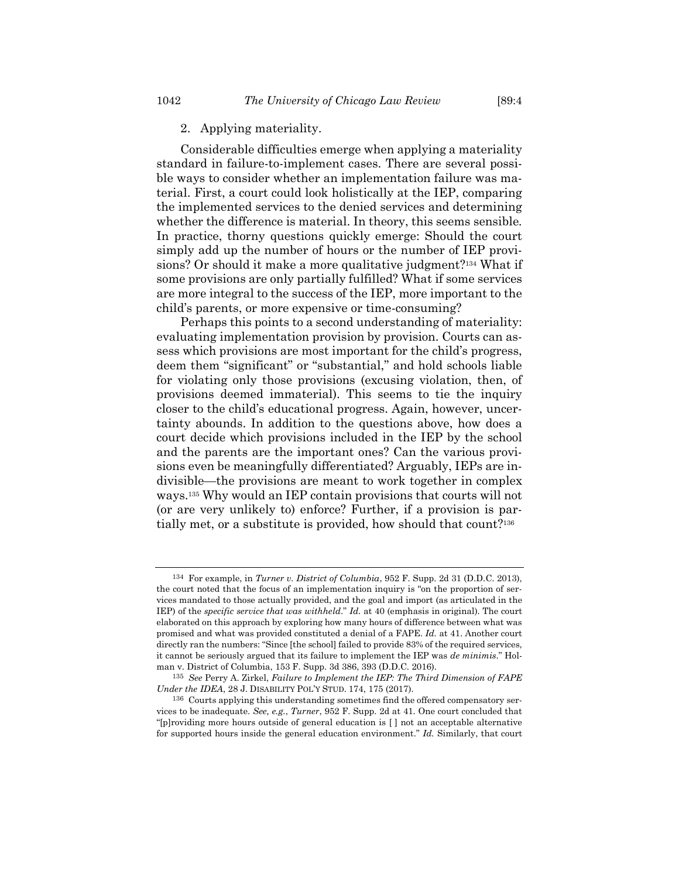# 2. Applying materiality.

Considerable difficulties emerge when applying a materiality standard in failure-to-implement cases. There are several possible ways to consider whether an implementation failure was material. First, a court could look holistically at the IEP, comparing the implemented services to the denied services and determining whether the difference is material. In theory, this seems sensible. In practice, thorny questions quickly emerge: Should the court simply add up the number of hours or the number of IEP provisions? Or should it make a more qualitative judgment?<sup>134</sup> What if some provisions are only partially fulfilled? What if some services are more integral to the success of the IEP, more important to the child's parents, or more expensive or time-consuming?

Perhaps this points to a second understanding of materiality: evaluating implementation provision by provision. Courts can assess which provisions are most important for the child's progress, deem them "significant" or "substantial," and hold schools liable for violating only those provisions (excusing violation, then, of provisions deemed immaterial). This seems to tie the inquiry closer to the child's educational progress. Again, however, uncertainty abounds. In addition to the questions above, how does a court decide which provisions included in the IEP by the school and the parents are the important ones? Can the various provisions even be meaningfully differentiated? Arguably, IEPs are indivisible—the provisions are meant to work together in complex ways.<sup>135</sup> Why would an IEP contain provisions that courts will not (or are very unlikely to) enforce? Further, if a provision is partially met, or a substitute is provided, how should that count?<sup>136</sup>

<span id="page-21-0"></span><sup>134</sup> For example, in *Turner v. District of Columbia*, 952 F. Supp. 2d 31 (D.D.C. 2013), the court noted that the focus of an implementation inquiry is "on the proportion of services mandated to those actually provided, and the goal and import (as articulated in the IEP) of the *specific service that was withheld*." *Id.* at 40 (emphasis in original). The court elaborated on this approach by exploring how many hours of difference between what was promised and what was provided constituted a denial of a FAPE. *Id.* at 41. Another court directly ran the numbers: "Since [the school] failed to provide 83% of the required services, it cannot be seriously argued that its failure to implement the IEP was *de minimis*." Holman v. District of Columbia, 153 F. Supp. 3d 386, 393 (D.D.C. 2016).

<sup>135</sup> *See* Perry A. Zirkel, *Failure to Implement the IEP: The Third Dimension of FAPE Under the IDEA*, 28 J. DISABILITY POL'Y STUD. 174, 175 (2017).

<sup>136</sup> Courts applying this understanding sometimes find the offered compensatory services to be inadequate. *See, e.g.*, *Turner*, 952 F. Supp. 2d at 41. One court concluded that "[p]roviding more hours outside of general education is [ ] not an acceptable alternative for supported hours inside the general education environment." *Id.* Similarly, that court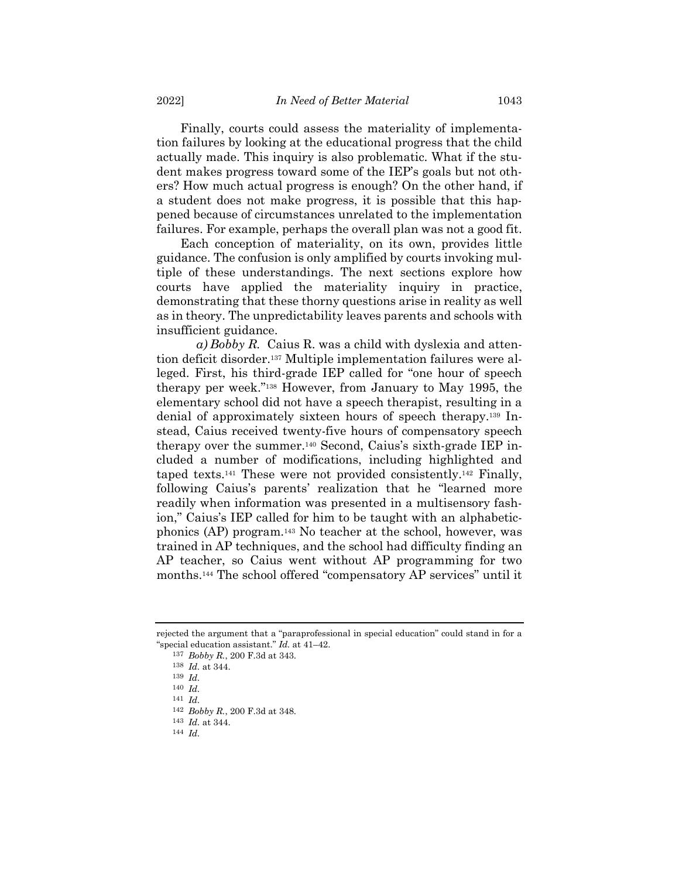Finally, courts could assess the materiality of implementation failures by looking at the educational progress that the child actually made. This inquiry is also problematic. What if the student makes progress toward some of the IEP's goals but not others? How much actual progress is enough? On the other hand, if a student does not make progress, it is possible that this happened because of circumstances unrelated to the implementation failures. For example, perhaps the overall plan was not a good fit.

Each conception of materiality, on its own, provides little guidance. The confusion is only amplified by courts invoking multiple of these understandings. The next sections explore how courts have applied the materiality inquiry in practice, demonstrating that these thorny questions arise in reality as well as in theory. The unpredictability leaves parents and schools with insufficient guidance.

*a) Bobby R.* Caius R. was a child with dyslexia and attention deficit disorder.<sup>137</sup> Multiple implementation failures were alleged. First, his third-grade IEP called for "one hour of speech therapy per week."<sup>138</sup> However, from January to May 1995, the elementary school did not have a speech therapist, resulting in a denial of approximately sixteen hours of speech therapy.<sup>139</sup> Instead, Caius received twenty-five hours of compensatory speech therapy over the summer.<sup>140</sup> Second, Caius's sixth-grade IEP included a number of modifications, including highlighted and taped texts.<sup>141</sup> These were not provided consistently.<sup>142</sup> Finally, following Caius's parents' realization that he "learned more readily when information was presented in a multisensory fashion," Caius's IEP called for him to be taught with an alphabeticphonics (AP) program.<sup>143</sup> No teacher at the school, however, was trained in AP techniques, and the school had difficulty finding an AP teacher, so Caius went without AP programming for two months.<sup>144</sup> The school offered "compensatory AP services" until it

rejected the argument that a "paraprofessional in special education" could stand in for a "special education assistant." *Id.* at 41–42.

<sup>137</sup> *Bobby R.*, 200 F.3d at 343.

<sup>138</sup> *Id.* at 344.

<sup>139</sup> *Id.*

<sup>140</sup> *Id.*

<sup>141</sup> *Id.*

<sup>142</sup> *Bobby R.*, 200 F.3d at 348.

<sup>143</sup> *Id.* at 344.

<sup>144</sup> *Id.*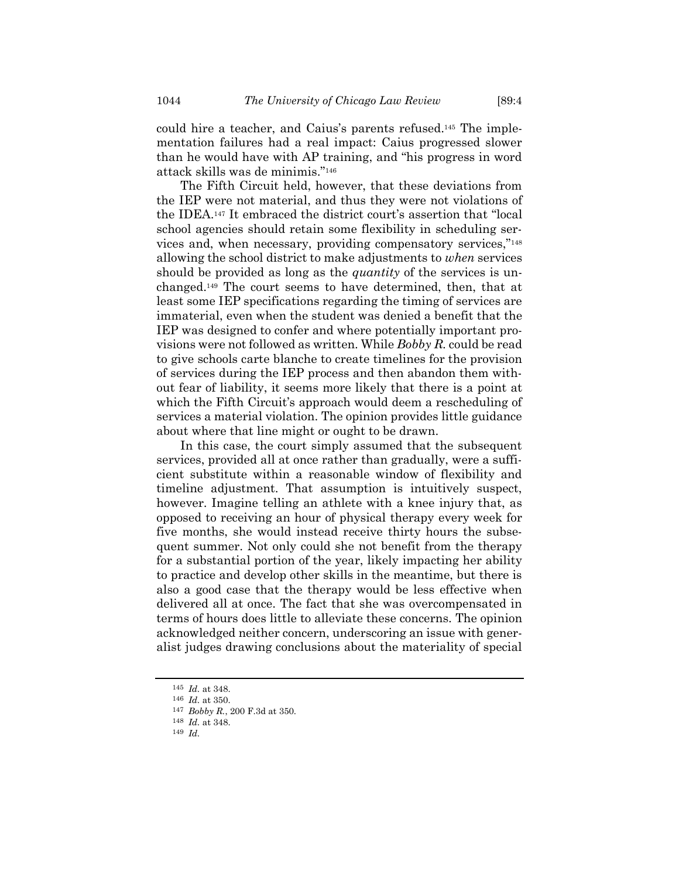could hire a teacher, and Caius's parents refused.<sup>145</sup> The implementation failures had a real impact: Caius progressed slower than he would have with AP training, and "his progress in word attack skills was de minimis."<sup>146</sup>

The Fifth Circuit held, however, that these deviations from the IEP were not material, and thus they were not violations of the IDEA.<sup>147</sup> It embraced the district court's assertion that "local school agencies should retain some flexibility in scheduling services and, when necessary, providing compensatory services,"<sup>148</sup> allowing the school district to make adjustments to *when* services should be provided as long as the *quantity* of the services is unchanged.<sup>149</sup> The court seems to have determined, then, that at least some IEP specifications regarding the timing of services are immaterial, even when the student was denied a benefit that the IEP was designed to confer and where potentially important provisions were not followed as written. While *Bobby R.* could be read to give schools carte blanche to create timelines for the provision of services during the IEP process and then abandon them without fear of liability, it seems more likely that there is a point at which the Fifth Circuit's approach would deem a rescheduling of services a material violation. The opinion provides little guidance about where that line might or ought to be drawn.

In this case, the court simply assumed that the subsequent services, provided all at once rather than gradually, were a sufficient substitute within a reasonable window of flexibility and timeline adjustment. That assumption is intuitively suspect, however. Imagine telling an athlete with a knee injury that, as opposed to receiving an hour of physical therapy every week for five months, she would instead receive thirty hours the subsequent summer. Not only could she not benefit from the therapy for a substantial portion of the year, likely impacting her ability to practice and develop other skills in the meantime, but there is also a good case that the therapy would be less effective when delivered all at once. The fact that she was overcompensated in terms of hours does little to alleviate these concerns. The opinion acknowledged neither concern, underscoring an issue with generalist judges drawing conclusions about the materiality of special

<sup>145</sup> *Id.* at 348.

<sup>146</sup> *Id.* at 350.

<sup>147</sup> *Bobby R.*, 200 F.3d at 350.

<sup>148</sup> *Id.* at 348.

<sup>149</sup> *Id.*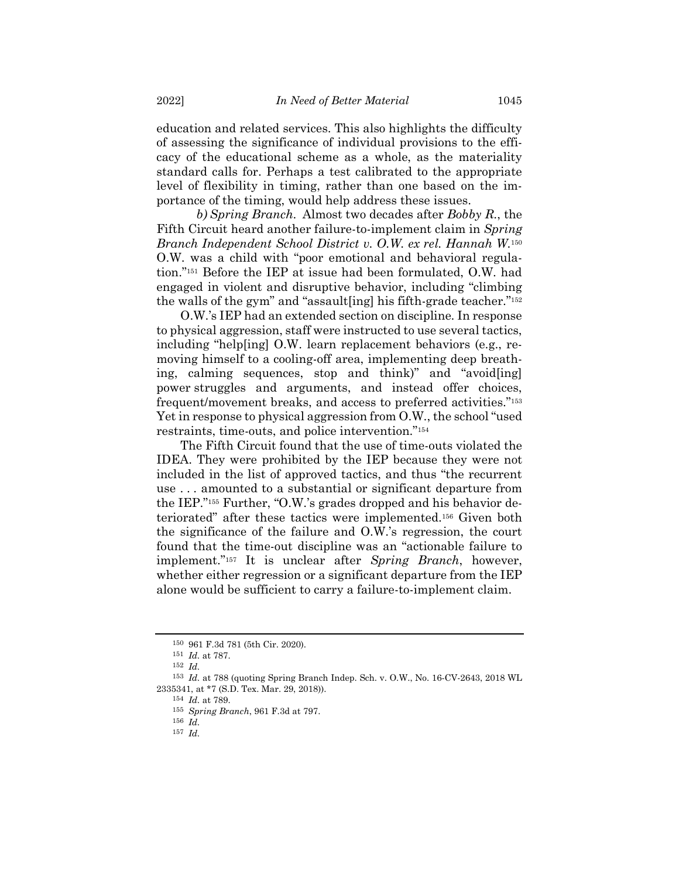education and related services. This also highlights the difficulty of assessing the significance of individual provisions to the efficacy of the educational scheme as a whole, as the materiality standard calls for. Perhaps a test calibrated to the appropriate level of flexibility in timing, rather than one based on the importance of the timing, would help address these issues.

*b) Spring Branch.* Almost two decades after *Bobby R.*, the Fifth Circuit heard another failure-to-implement claim in *Spring Branch Independent School District v. O.W. ex rel. Hannah W.* 150 O.W. was a child with "poor emotional and behavioral regulation."<sup>151</sup> Before the IEP at issue had been formulated, O.W. had engaged in violent and disruptive behavior, including "climbing the walls of the gym" and "assault[ing] his fifth-grade teacher."<sup>152</sup>

O.W.'s IEP had an extended section on discipline. In response to physical aggression, staff were instructed to use several tactics, including "help[ing] O.W. learn replacement behaviors (e.g., removing himself to a cooling-off area, implementing deep breathing, calming sequences, stop and think)" and "avoid[ing] power struggles and arguments, and instead offer choices, frequent/movement breaks, and access to preferred activities."<sup>153</sup> Yet in response to physical aggression from O.W., the school "used restraints, time-outs, and police intervention."<sup>154</sup>

The Fifth Circuit found that the use of time-outs violated the IDEA. They were prohibited by the IEP because they were not included in the list of approved tactics, and thus "the recurrent use . . . amounted to a substantial or significant departure from the IEP."<sup>155</sup> Further, "O.W.'s grades dropped and his behavior deteriorated" after these tactics were implemented.<sup>156</sup> Given both the significance of the failure and O.W.'s regression, the court found that the time-out discipline was an "actionable failure to implement."<sup>157</sup> It is unclear after *Spring Branch*, however, whether either regression or a significant departure from the IEP alone would be sufficient to carry a failure-to-implement claim.

<sup>150</sup> 961 F.3d 781 (5th Cir. 2020).

<sup>151</sup> *Id.* at 787.

<sup>152</sup> *Id.*

<sup>153</sup> *Id.* at 788 (quoting Spring Branch Indep. Sch. v. O.W., No. 16-CV-2643, 2018 WL 2335341, at \*7 (S.D. Tex. Mar. 29, 2018)).

<sup>154</sup> *Id.* at 789.

<sup>155</sup> *Spring Branch*, 961 F.3d at 797.

<sup>156</sup> *Id.*

<sup>157</sup> *Id.*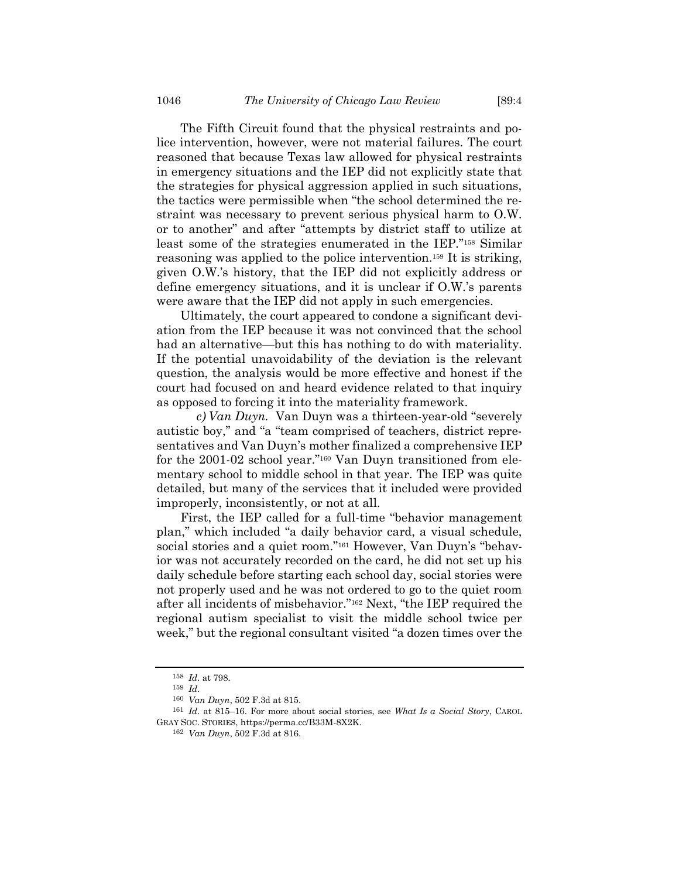The Fifth Circuit found that the physical restraints and police intervention, however, were not material failures. The court reasoned that because Texas law allowed for physical restraints in emergency situations and the IEP did not explicitly state that the strategies for physical aggression applied in such situations, the tactics were permissible when "the school determined the restraint was necessary to prevent serious physical harm to O.W. or to another" and after "attempts by district staff to utilize at least some of the strategies enumerated in the IEP."<sup>158</sup> Similar reasoning was applied to the police intervention.<sup>159</sup> It is striking, given O.W.'s history, that the IEP did not explicitly address or define emergency situations, and it is unclear if O.W.'s parents were aware that the IEP did not apply in such emergencies.

Ultimately, the court appeared to condone a significant deviation from the IEP because it was not convinced that the school had an alternative—but this has nothing to do with materiality. If the potential unavoidability of the deviation is the relevant question, the analysis would be more effective and honest if the court had focused on and heard evidence related to that inquiry as opposed to forcing it into the materiality framework.

*c) Van Duyn.* Van Duyn was a thirteen-year-old "severely autistic boy," and "a "team comprised of teachers, district representatives and Van Duyn's mother finalized a comprehensive IEP for the 2001-02 school year."<sup>160</sup> Van Duyn transitioned from elementary school to middle school in that year. The IEP was quite detailed, but many of the services that it included were provided improperly, inconsistently, or not at all.

First, the IEP called for a full-time "behavior management plan," which included "a daily behavior card, a visual schedule, social stories and a quiet room."<sup>161</sup> However, Van Duyn's "behavior was not accurately recorded on the card, he did not set up his daily schedule before starting each school day, social stories were not properly used and he was not ordered to go to the quiet room after all incidents of misbehavior."<sup>162</sup> Next, "the IEP required the regional autism specialist to visit the middle school twice per week," but the regional consultant visited "a dozen times over the

<sup>158</sup> *Id.* at 798.

<sup>159</sup> *Id.*

<sup>160</sup> *Van Duyn*, 502 F.3d at 815.

<sup>161</sup> *Id.* at 815–16. For more about social stories, see *What Is a Social Story*, CAROL GRAY SOC. STORIES, https://perma.cc/B33M-8X2K.

<sup>162</sup> *Van Duyn*, 502 F.3d at 816.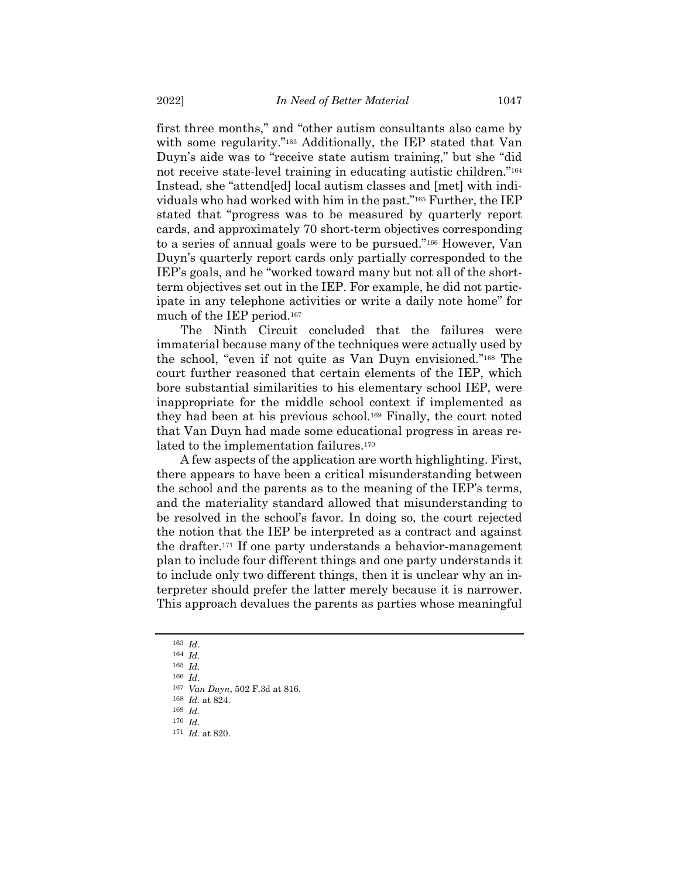first three months," and "other autism consultants also came by with some regularity."<sup>163</sup> Additionally, the IEP stated that Van Duyn's aide was to "receive state autism training," but she "did not receive state-level training in educating autistic children."<sup>164</sup> Instead, she "attend[ed] local autism classes and [met] with individuals who had worked with him in the past."<sup>165</sup> Further, the IEP stated that "progress was to be measured by quarterly report cards, and approximately 70 short-term objectives corresponding to a series of annual goals were to be pursued."<sup>166</sup> However, Van Duyn's quarterly report cards only partially corresponded to the IEP's goals, and he "worked toward many but not all of the shortterm objectives set out in the IEP. For example, he did not participate in any telephone activities or write a daily note home" for much of the IEP period.<sup>167</sup>

The Ninth Circuit concluded that the failures were immaterial because many of the techniques were actually used by the school, "even if not quite as Van Duyn envisioned."<sup>168</sup> The court further reasoned that certain elements of the IEP, which bore substantial similarities to his elementary school IEP, were inappropriate for the middle school context if implemented as they had been at his previous school.<sup>169</sup> Finally, the court noted that Van Duyn had made some educational progress in areas related to the implementation failures.<sup>170</sup>

A few aspects of the application are worth highlighting. First, there appears to have been a critical misunderstanding between the school and the parents as to the meaning of the IEP's terms, and the materiality standard allowed that misunderstanding to be resolved in the school's favor. In doing so, the court rejected the notion that the IEP be interpreted as a contract and against the drafter.<sup>171</sup> If one party understands a behavior-management plan to include four different things and one party understands it to include only two different things, then it is unclear why an interpreter should prefer the latter merely because it is narrower. This approach devalues the parents as parties whose meaningful

<sup>163</sup> *Id.*

<sup>164</sup> *Id.*

<sup>165</sup> *Id.*

<sup>166</sup> *Id.*

<sup>167</sup> *Van Duyn*, 502 F.3d at 816.

<sup>168</sup> *Id.* at 824.

<sup>169</sup> *Id.* 170 *Id.*

<sup>171</sup> *Id.* at 820.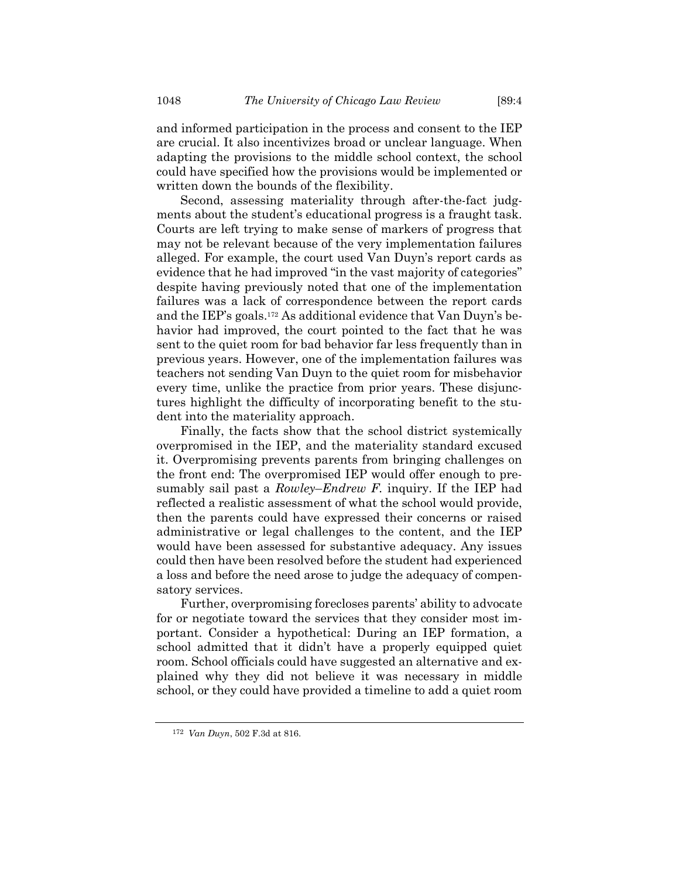and informed participation in the process and consent to the IEP are crucial. It also incentivizes broad or unclear language. When adapting the provisions to the middle school context, the school could have specified how the provisions would be implemented or written down the bounds of the flexibility.

Second, assessing materiality through after-the-fact judgments about the student's educational progress is a fraught task. Courts are left trying to make sense of markers of progress that may not be relevant because of the very implementation failures alleged. For example, the court used Van Duyn's report cards as evidence that he had improved "in the vast majority of categories" despite having previously noted that one of the implementation failures was a lack of correspondence between the report cards and the IEP's goals.<sup>172</sup> As additional evidence that Van Duyn's behavior had improved, the court pointed to the fact that he was sent to the quiet room for bad behavior far less frequently than in previous years. However, one of the implementation failures was teachers not sending Van Duyn to the quiet room for misbehavior every time, unlike the practice from prior years. These disjunctures highlight the difficulty of incorporating benefit to the student into the materiality approach.

Finally, the facts show that the school district systemically overpromised in the IEP, and the materiality standard excused it. Overpromising prevents parents from bringing challenges on the front end: The overpromised IEP would offer enough to presumably sail past a *Rowley*–*Endrew F.* inquiry. If the IEP had reflected a realistic assessment of what the school would provide, then the parents could have expressed their concerns or raised administrative or legal challenges to the content, and the IEP would have been assessed for substantive adequacy. Any issues could then have been resolved before the student had experienced a loss and before the need arose to judge the adequacy of compensatory services.

Further, overpromising forecloses parents' ability to advocate for or negotiate toward the services that they consider most important. Consider a hypothetical: During an IEP formation, a school admitted that it didn't have a properly equipped quiet room. School officials could have suggested an alternative and explained why they did not believe it was necessary in middle school, or they could have provided a timeline to add a quiet room

<sup>172</sup> *Van Duyn*, 502 F.3d at 816.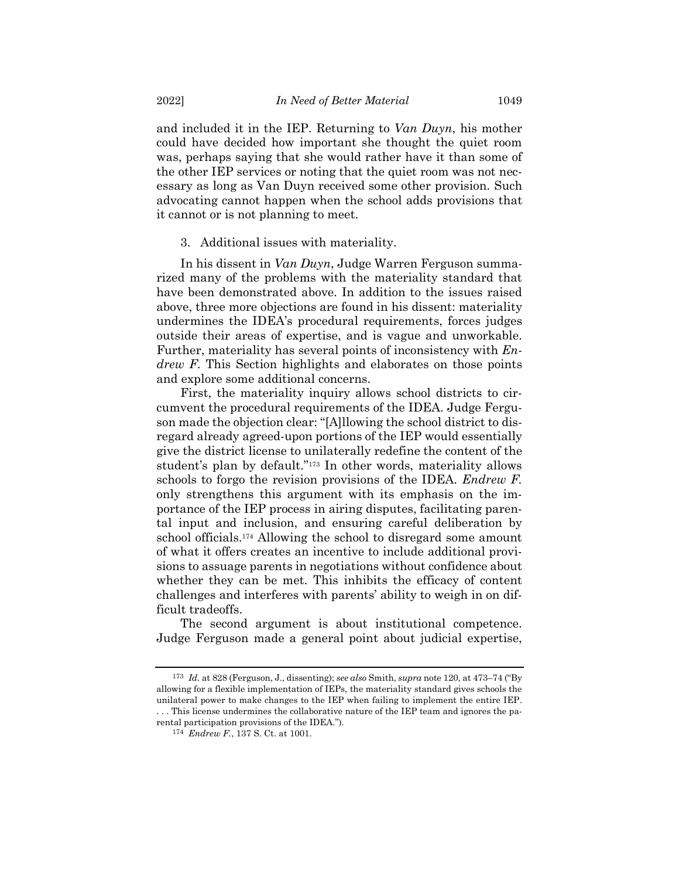and included it in the IEP. Returning to *Van Duyn*, his mother could have decided how important she thought the quiet room was, perhaps saying that she would rather have it than some of the other IEP services or noting that the quiet room was not necessary as long as Van Duyn received some other provision. Such advocating cannot happen when the school adds provisions that it cannot or is not planning to meet.

3. Additional issues with materiality.

In his dissent in *Van Duyn*, Judge Warren Ferguson summarized many of the problems with the materiality standard that have been demonstrated above. In addition to the issues raised above, three more objections are found in his dissent: materiality undermines the IDEA's procedural requirements, forces judges outside their areas of expertise, and is vague and unworkable. Further, materiality has several points of inconsistency with *Endrew F.* This Section highlights and elaborates on those points and explore some additional concerns.

First, the materiality inquiry allows school districts to circumvent the procedural requirements of the IDEA. Judge Ferguson made the objection clear: "[A]llowing the school district to disregard already agreed-upon portions of the IEP would essentially give the district license to unilaterally redefine the content of the student's plan by default."<sup>173</sup> In other words, materiality allows schools to forgo the revision provisions of the IDEA. *Endrew F.* only strengthens this argument with its emphasis on the importance of the IEP process in airing disputes, facilitating parental input and inclusion, and ensuring careful deliberation by school officials.<sup>174</sup> Allowing the school to disregard some amount of what it offers creates an incentive to include additional provisions to assuage parents in negotiations without confidence about whether they can be met. This inhibits the efficacy of content challenges and interferes with parents' ability to weigh in on difficult tradeoffs.

The second argument is about institutional competence. Judge Ferguson made a general point about judicial expertise,

<sup>173</sup> *Id.* at 828 (Ferguson, J., dissenting); *see also* Smith, *supra* not[e 120,](#page-18-0) at 473–74 ("By allowing for a flexible implementation of IEPs, the materiality standard gives schools the unilateral power to make changes to the IEP when failing to implement the entire IEP.

<sup>.</sup> . . This license undermines the collaborative nature of the IEP team and ignores the parental participation provisions of the IDEA.").

<sup>174</sup> *Endrew F.*, 137 S. Ct. at 1001.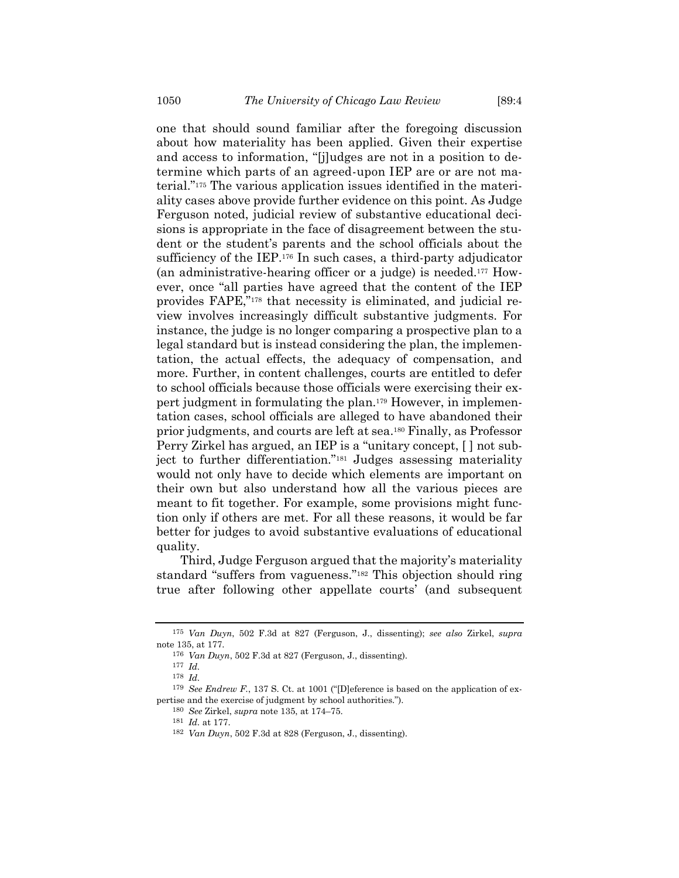one that should sound familiar after the foregoing discussion about how materiality has been applied. Given their expertise and access to information, "[j]udges are not in a position to determine which parts of an agreed-upon IEP are or are not material."<sup>175</sup> The various application issues identified in the materiality cases above provide further evidence on this point. As Judge Ferguson noted, judicial review of substantive educational decisions is appropriate in the face of disagreement between the student or the student's parents and the school officials about the sufficiency of the IEP.<sup>176</sup> In such cases, a third-party adjudicator (an administrative-hearing officer or a judge) is needed.<sup>177</sup> However, once "all parties have agreed that the content of the IEP provides FAPE,"<sup>178</sup> that necessity is eliminated, and judicial review involves increasingly difficult substantive judgments. For instance, the judge is no longer comparing a prospective plan to a legal standard but is instead considering the plan, the implementation, the actual effects, the adequacy of compensation, and more. Further, in content challenges, courts are entitled to defer to school officials because those officials were exercising their expert judgment in formulating the plan. <sup>179</sup> However, in implementation cases, school officials are alleged to have abandoned their prior judgments, and courts are left at sea.<sup>180</sup> Finally, as Professor Perry Zirkel has argued, an IEP is a "unitary concept, [ ] not subject to further differentiation."<sup>181</sup> Judges assessing materiality would not only have to decide which elements are important on their own but also understand how all the various pieces are meant to fit together. For example, some provisions might function only if others are met. For all these reasons, it would be far better for judges to avoid substantive evaluations of educational quality.

Third, Judge Ferguson argued that the majority's materiality standard "suffers from vagueness."<sup>182</sup> This objection should ring true after following other appellate courts' (and subsequent

<sup>175</sup> *Van Duyn*, 502 F.3d at 827 (Ferguson, J., dissenting); *see also* Zirkel, *supra* note [135,](#page-21-0) at 177.

<sup>176</sup> *Van Duyn*, 502 F.3d at 827 (Ferguson, J., dissenting).

<sup>177</sup> *Id.*

<sup>178</sup> *Id.*

<sup>179</sup> *See Endrew F.*, 137 S. Ct. at 1001 ("[D]eference is based on the application of expertise and the exercise of judgment by school authorities.").

<sup>180</sup> *See* Zirkel, *supra* note [135,](#page-21-0) at 174–75.

<sup>181</sup> *Id.* at 177.

<sup>182</sup> *Van Duyn*, 502 F.3d at 828 (Ferguson, J., dissenting).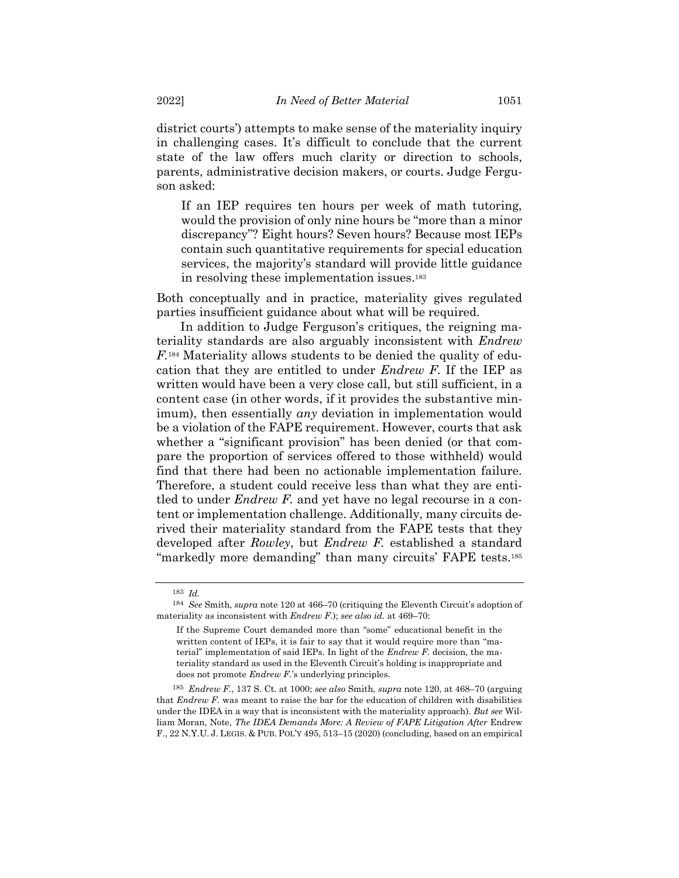district courts') attempts to make sense of the materiality inquiry in challenging cases. It's difficult to conclude that the current state of the law offers much clarity or direction to schools, parents, administrative decision makers, or courts. Judge Ferguson asked:

If an IEP requires ten hours per week of math tutoring, would the provision of only nine hours be "more than a minor discrepancy"? Eight hours? Seven hours? Because most IEPs contain such quantitative requirements for special education services, the majority's standard will provide little guidance in resolving these implementation issues.<sup>183</sup>

Both conceptually and in practice, materiality gives regulated parties insufficient guidance about what will be required.

In addition to Judge Ferguson's critiques, the reigning materiality standards are also arguably inconsistent with *Endrew F.*<sup>184</sup> Materiality allows students to be denied the quality of education that they are entitled to under *Endrew F.* If the IEP as written would have been a very close call, but still sufficient, in a content case (in other words, if it provides the substantive minimum), then essentially *any* deviation in implementation would be a violation of the FAPE requirement. However, courts that ask whether a "significant provision" has been denied (or that compare the proportion of services offered to those withheld) would find that there had been no actionable implementation failure. Therefore, a student could receive less than what they are entitled to under *Endrew F.* and yet have no legal recourse in a content or implementation challenge. Additionally, many circuits derived their materiality standard from the FAPE tests that they developed after *Rowley*, but *Endrew F.* established a standard "markedly more demanding" than many circuits' FAPE tests.<sup>185</sup>

185 *Endrew F.*, 137 S. Ct. at 1000; *see also* Smith, *supra* not[e 120,](#page-18-0) at 468–70 (arguing that *Endrew F.* was meant to raise the bar for the education of children with disabilities under the IDEA in a way that is inconsistent with the materiality approach). *But see* William Moran, Note, *The IDEA Demands More: A Review of FAPE Litigation After* Endrew F., 22 N.Y.U. J. LEGIS. & PUB. POL'Y 495, 513–15 (2020) (concluding, based on an empirical

<sup>183</sup> *Id.*

<sup>184</sup> *See* Smith, *supra* not[e 120](#page-18-0) at 466–70 (critiquing the Eleventh Circuit's adoption of materiality as inconsistent with *Endrew F.*); *see also id.* at 469–70:

If the Supreme Court demanded more than "some" educational benefit in the written content of IEPs, it is fair to say that it would require more than "material" implementation of said IEPs. In light of the *Endrew F.* decision, the materiality standard as used in the Eleventh Circuit's holding is inappropriate and does not promote *Endrew F.*'s underlying principles.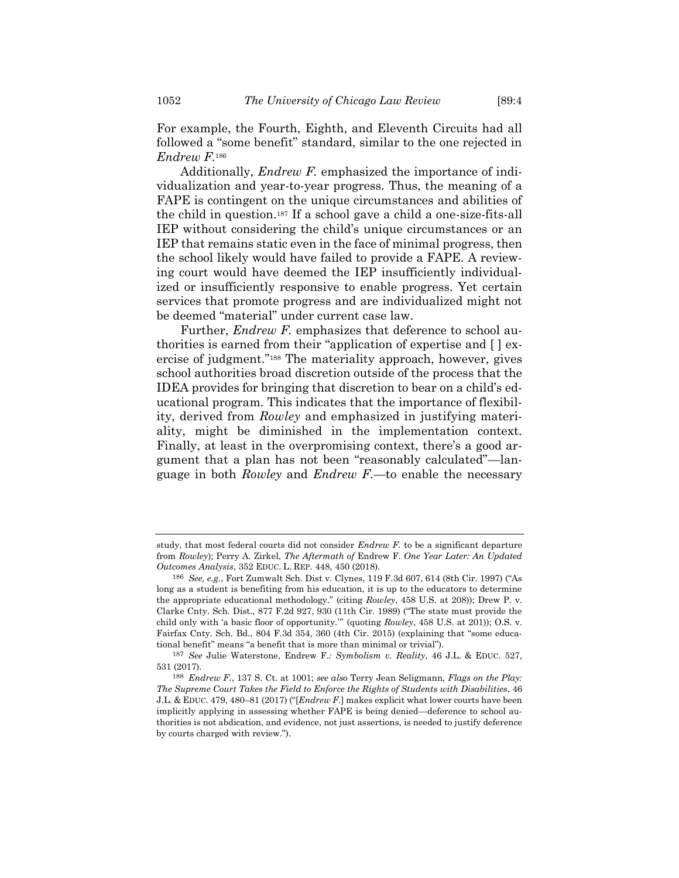For example, the Fourth, Eighth, and Eleventh Circuits had all followed a "some benefit" standard, similar to the one rejected in *Endrew F.*<sup>186</sup>

Additionally, *Endrew F.* emphasized the importance of individualization and year-to-year progress. Thus, the meaning of a FAPE is contingent on the unique circumstances and abilities of the child in question.<sup>187</sup> If a school gave a child a one-size-fits-all IEP without considering the child's unique circumstances or an IEP that remains static even in the face of minimal progress, then the school likely would have failed to provide a FAPE. A reviewing court would have deemed the IEP insufficiently individualized or insufficiently responsive to enable progress. Yet certain services that promote progress and are individualized might not be deemed "material" under current case law.

Further, *Endrew F.* emphasizes that deference to school authorities is earned from their "application of expertise and [ ] exercise of judgment."<sup>188</sup> The materiality approach, however, gives school authorities broad discretion outside of the process that the IDEA provides for bringing that discretion to bear on a child's educational program. This indicates that the importance of flexibility, derived from *Rowley* and emphasized in justifying materiality, might be diminished in the implementation context. Finally, at least in the overpromising context, there's a good argument that a plan has not been "reasonably calculated"—language in both *Rowley* and *Endrew F.*—to enable the necessary

study, that most federal courts did not consider *Endrew F.* to be a significant departure from *Rowley*); Perry A. Zirkel, *The Aftermath of* Endrew F. *One Year Later: An Updated Outcomes Analysis*, 352 EDUC. L. REP. 448, 450 (2018).

<sup>186</sup> *See, e.g.*, Fort Zumwalt Sch. Dist v. Clynes, 119 F.3d 607, 614 (8th Cir. 1997) ("As long as a student is benefiting from his education, it is up to the educators to determine the appropriate educational methodology." (citing *Rowley*, 458 U.S. at 208)); Drew P. v. Clarke Cnty. Sch. Dist., 877 F.2d 927, 930 (11th Cir. 1989) ("The state must provide the child only with 'a basic floor of opportunity.'" (quoting *Rowley*, 458 U.S. at 201)); O.S. v. Fairfax Cnty. Sch. Bd., 804 F.3d 354, 360 (4th Cir. 2015) (explaining that "some educational benefit" means "a benefit that is more than minimal or trivial").

<sup>187</sup> *See* Julie Waterstone, Endrew F.*: Symbolism v. Reality*, 46 J.L. & EDUC. 527, 531 (2017).

<sup>188</sup> *Endrew F.*, 137 S. Ct. at 1001; *see also* Terry Jean Seligmann, *Flags on the Play: The Supreme Court Takes the Field to Enforce the Rights of Students with Disabilities*, 46 J.L. & EDUC. 479, 480–81 (2017) ("[*Endrew F.*] makes explicit what lower courts have been implicitly applying in assessing whether FAPE is being denied—deference to school authorities is not abdication, and evidence, not just assertions, is needed to justify deference by courts charged with review.").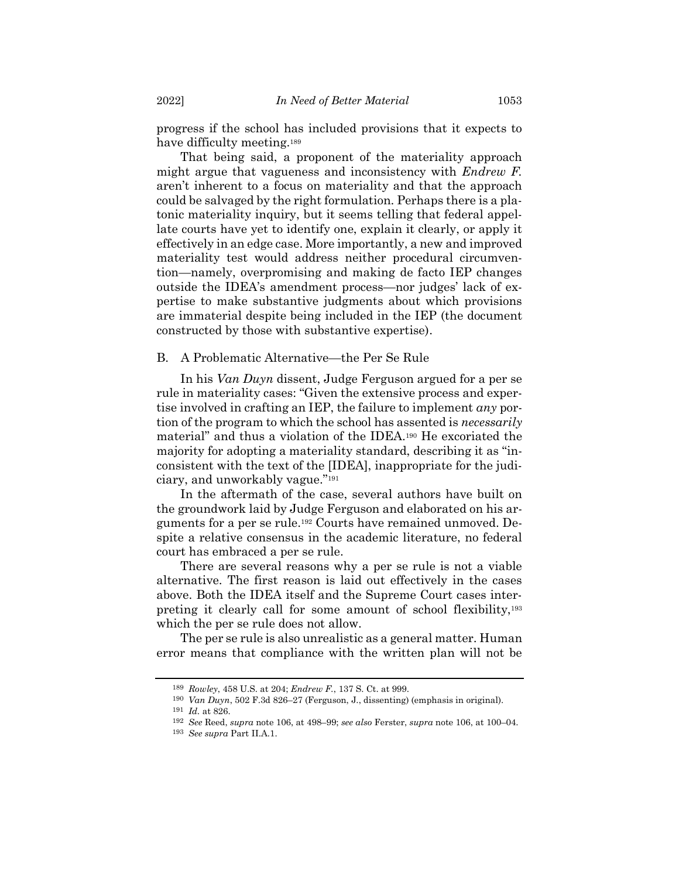progress if the school has included provisions that it expects to have difficulty meeting.<sup>189</sup>

That being said, a proponent of the materiality approach might argue that vagueness and inconsistency with *Endrew F.* aren't inherent to a focus on materiality and that the approach could be salvaged by the right formulation. Perhaps there is a platonic materiality inquiry, but it seems telling that federal appellate courts have yet to identify one, explain it clearly, or apply it effectively in an edge case. More importantly, a new and improved materiality test would address neither procedural circumvention—namely, overpromising and making de facto IEP changes outside the IDEA's amendment process—nor judges' lack of expertise to make substantive judgments about which provisions are immaterial despite being included in the IEP (the document constructed by those with substantive expertise).

### B. A Problematic Alternative—the Per Se Rule

In his *Van Duyn* dissent, Judge Ferguson argued for a per se rule in materiality cases: "Given the extensive process and expertise involved in crafting an IEP, the failure to implement *any* portion of the program to which the school has assented is *necessarily* material" and thus a violation of the IDEA.<sup>190</sup> He excoriated the majority for adopting a materiality standard, describing it as "inconsistent with the text of the [IDEA], inappropriate for the judiciary, and unworkably vague."<sup>191</sup>

In the aftermath of the case, several authors have built on the groundwork laid by Judge Ferguson and elaborated on his arguments for a per se rule.<sup>192</sup> Courts have remained unmoved. Despite a relative consensus in the academic literature, no federal court has embraced a per se rule.

There are several reasons why a per se rule is not a viable alternative. The first reason is laid out effectively in the cases above. Both the IDEA itself and the Supreme Court cases interpreting it clearly call for some amount of school flexibility,<sup>193</sup> which the per se rule does not allow.

The per se rule is also unrealistic as a general matter. Human error means that compliance with the written plan will not be

<sup>189</sup> *Rowley*, 458 U.S. at 204; *Endrew F.*, 137 S. Ct. at 999.

<sup>190</sup> *Van Duyn*, 502 F.3d 826–27 (Ferguson, J., dissenting) (emphasis in original).

<sup>191</sup> *Id.* at 826.

<sup>192</sup> *See* Reed, *supra* note [106,](#page-16-0) at 498–99; *see also* Ferster, *supra* note [106,](#page-16-0) at 100–04.

<sup>193</sup> *See supra* Part II.A.1.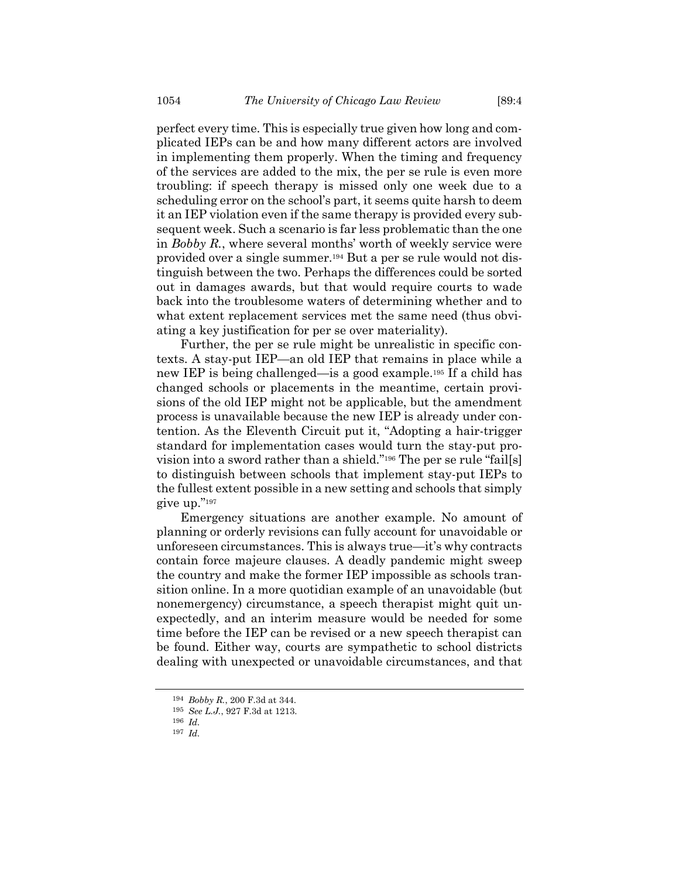perfect every time. This is especially true given how long and complicated IEPs can be and how many different actors are involved in implementing them properly. When the timing and frequency of the services are added to the mix, the per se rule is even more troubling: if speech therapy is missed only one week due to a scheduling error on the school's part, it seems quite harsh to deem it an IEP violation even if the same therapy is provided every subsequent week. Such a scenario is far less problematic than the one in *Bobby R.*, where several months' worth of weekly service were provided over a single summer.<sup>194</sup> But a per se rule would not distinguish between the two. Perhaps the differences could be sorted out in damages awards, but that would require courts to wade back into the troublesome waters of determining whether and to what extent replacement services met the same need (thus obviating a key justification for per se over materiality).

Further, the per se rule might be unrealistic in specific contexts. A stay-put IEP—an old IEP that remains in place while a new IEP is being challenged—is a good example.<sup>195</sup> If a child has changed schools or placements in the meantime, certain provisions of the old IEP might not be applicable, but the amendment process is unavailable because the new IEP is already under contention. As the Eleventh Circuit put it, "Adopting a hair-trigger standard for implementation cases would turn the stay-put provision into a sword rather than a shield."<sup>196</sup> The per se rule "fail[s] to distinguish between schools that implement stay-put IEPs to the fullest extent possible in a new setting and schools that simply give up."<sup>197</sup>

Emergency situations are another example. No amount of planning or orderly revisions can fully account for unavoidable or unforeseen circumstances. This is always true—it's why contracts contain force majeure clauses. A deadly pandemic might sweep the country and make the former IEP impossible as schools transition online. In a more quotidian example of an unavoidable (but nonemergency) circumstance, a speech therapist might quit unexpectedly, and an interim measure would be needed for some time before the IEP can be revised or a new speech therapist can be found. Either way, courts are sympathetic to school districts dealing with unexpected or unavoidable circumstances, and that

<sup>194</sup> *Bobby R.*, 200 F.3d at 344.

<sup>195</sup> *See L.J.*, 927 F.3d at 1213.

<sup>196</sup> *Id.*

<sup>197</sup> *Id.*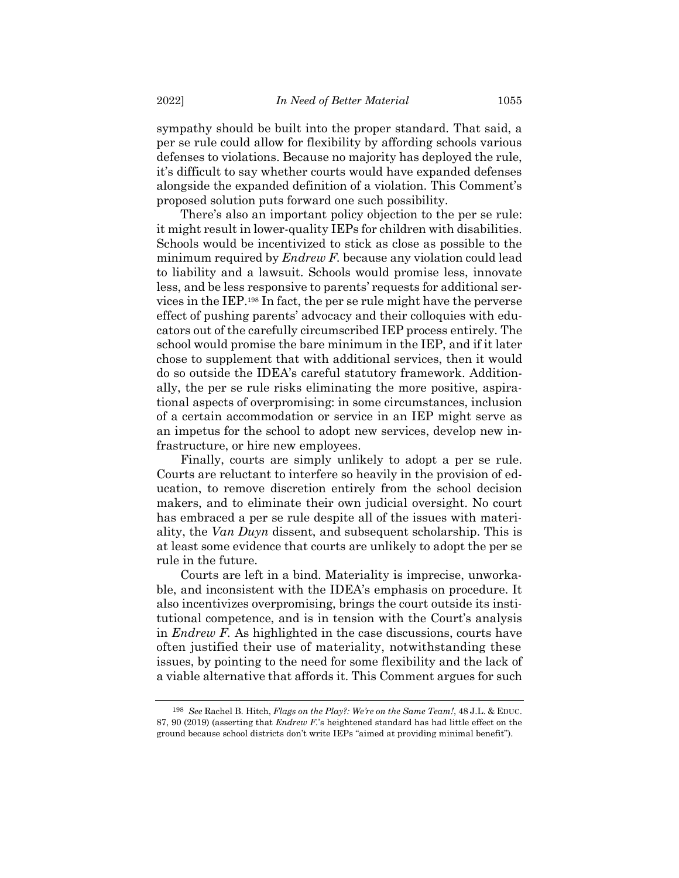sympathy should be built into the proper standard. That said, a per se rule could allow for flexibility by affording schools various defenses to violations. Because no majority has deployed the rule, it's difficult to say whether courts would have expanded defenses alongside the expanded definition of a violation. This Comment's proposed solution puts forward one such possibility.

There's also an important policy objection to the per se rule: it might result in lower-quality IEPs for children with disabilities. Schools would be incentivized to stick as close as possible to the minimum required by *Endrew F.* because any violation could lead to liability and a lawsuit. Schools would promise less, innovate less, and be less responsive to parents' requests for additional services in the IEP.<sup>198</sup> In fact, the per se rule might have the perverse effect of pushing parents' advocacy and their colloquies with educators out of the carefully circumscribed IEP process entirely. The school would promise the bare minimum in the IEP, and if it later chose to supplement that with additional services, then it would do so outside the IDEA's careful statutory framework. Additionally, the per se rule risks eliminating the more positive, aspirational aspects of overpromising: in some circumstances, inclusion of a certain accommodation or service in an IEP might serve as an impetus for the school to adopt new services, develop new infrastructure, or hire new employees.

Finally, courts are simply unlikely to adopt a per se rule. Courts are reluctant to interfere so heavily in the provision of education, to remove discretion entirely from the school decision makers, and to eliminate their own judicial oversight. No court has embraced a per se rule despite all of the issues with materiality, the *Van Duyn* dissent, and subsequent scholarship. This is at least some evidence that courts are unlikely to adopt the per se rule in the future.

Courts are left in a bind. Materiality is imprecise, unworkable, and inconsistent with the IDEA's emphasis on procedure. It also incentivizes overpromising, brings the court outside its institutional competence, and is in tension with the Court's analysis in *Endrew F.* As highlighted in the case discussions, courts have often justified their use of materiality, notwithstanding these issues, by pointing to the need for some flexibility and the lack of a viable alternative that affords it. This Comment argues for such

<sup>198</sup> *See* Rachel B. Hitch, *Flags on the Play?: We're on the Same Team!*, 48 J.L. & EDUC. 87, 90 (2019) (asserting that *Endrew F.*'s heightened standard has had little effect on the ground because school districts don't write IEPs "aimed at providing minimal benefit").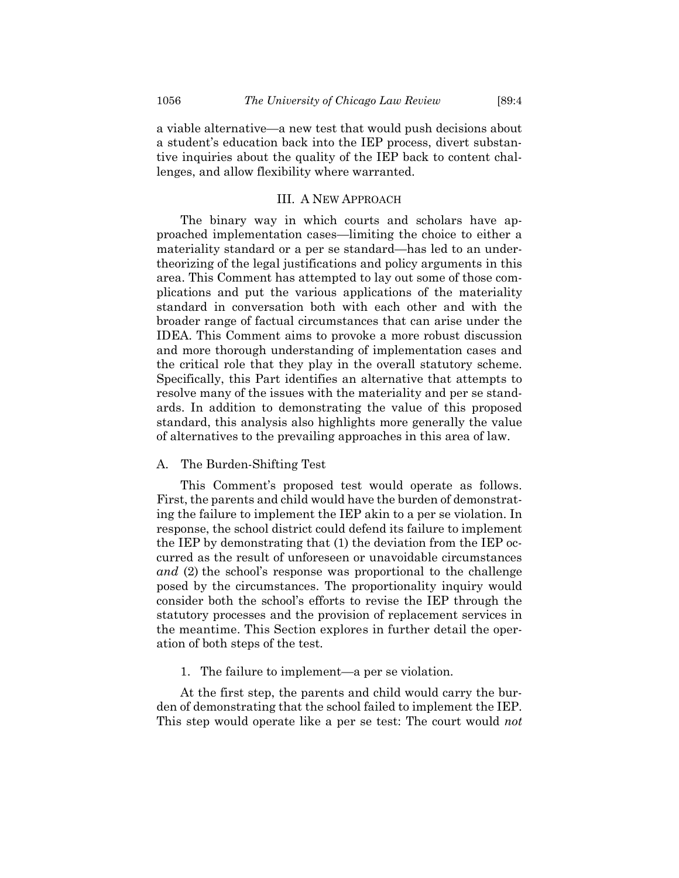a viable alternative—a new test that would push decisions about a student's education back into the IEP process, divert substantive inquiries about the quality of the IEP back to content challenges, and allow flexibility where warranted.

# III. A NEW APPROACH

The binary way in which courts and scholars have approached implementation cases—limiting the choice to either a materiality standard or a per se standard—has led to an undertheorizing of the legal justifications and policy arguments in this area. This Comment has attempted to lay out some of those complications and put the various applications of the materiality standard in conversation both with each other and with the broader range of factual circumstances that can arise under the IDEA. This Comment aims to provoke a more robust discussion and more thorough understanding of implementation cases and the critical role that they play in the overall statutory scheme. Specifically, this Part identifies an alternative that attempts to resolve many of the issues with the materiality and per se standards. In addition to demonstrating the value of this proposed standard, this analysis also highlights more generally the value of alternatives to the prevailing approaches in this area of law.

# A. The Burden-Shifting Test

This Comment's proposed test would operate as follows. First, the parents and child would have the burden of demonstrating the failure to implement the IEP akin to a per se violation. In response, the school district could defend its failure to implement the IEP by demonstrating that (1) the deviation from the IEP occurred as the result of unforeseen or unavoidable circumstances *and* (2) the school's response was proportional to the challenge posed by the circumstances. The proportionality inquiry would consider both the school's efforts to revise the IEP through the statutory processes and the provision of replacement services in the meantime. This Section explores in further detail the operation of both steps of the test.

1. The failure to implement—a per se violation.

At the first step, the parents and child would carry the burden of demonstrating that the school failed to implement the IEP. This step would operate like a per se test: The court would *not*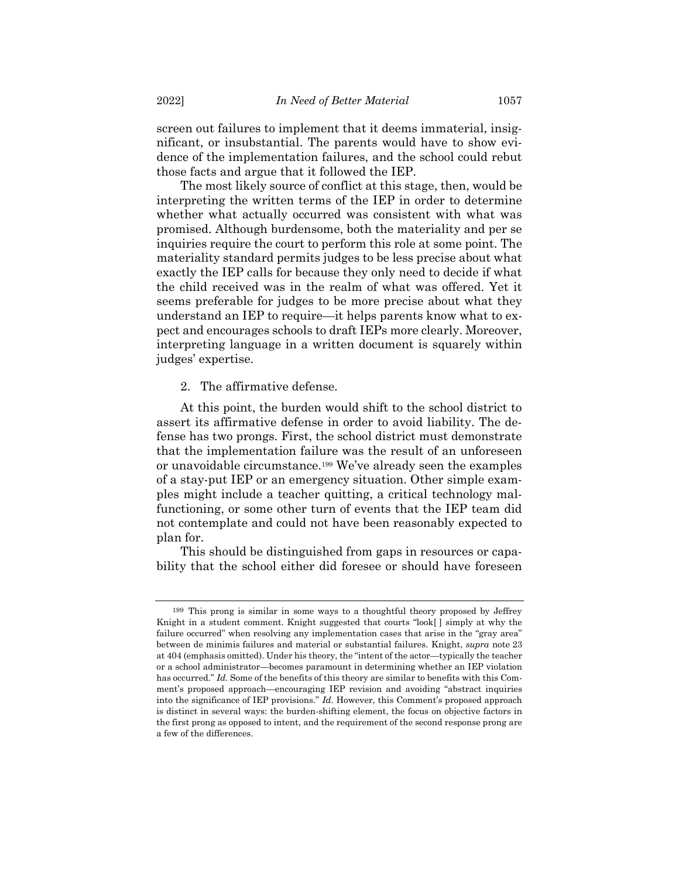screen out failures to implement that it deems immaterial, insignificant, or insubstantial. The parents would have to show evidence of the implementation failures, and the school could rebut those facts and argue that it followed the IEP.

The most likely source of conflict at this stage, then, would be interpreting the written terms of the IEP in order to determine whether what actually occurred was consistent with what was promised. Although burdensome, both the materiality and per se inquiries require the court to perform this role at some point. The materiality standard permits judges to be less precise about what exactly the IEP calls for because they only need to decide if what the child received was in the realm of what was offered. Yet it seems preferable for judges to be more precise about what they understand an IEP to require—it helps parents know what to expect and encourages schools to draft IEPs more clearly. Moreover, interpreting language in a written document is squarely within judges' expertise.

#### 2. The affirmative defense.

At this point, the burden would shift to the school district to assert its affirmative defense in order to avoid liability. The defense has two prongs. First, the school district must demonstrate that the implementation failure was the result of an unforeseen or unavoidable circumstance.<sup>199</sup> We've already seen the examples of a stay-put IEP or an emergency situation. Other simple examples might include a teacher quitting, a critical technology malfunctioning, or some other turn of events that the IEP team did not contemplate and could not have been reasonably expected to plan for.

This should be distinguished from gaps in resources or capability that the school either did foresee or should have foreseen

<sup>199</sup> This prong is similar in some ways to a thoughtful theory proposed by Jeffrey Knight in a student comment. Knight suggested that courts "look[ ] simply at why the failure occurred" when resolving any implementation cases that arise in the "gray area" between de minimis failures and material or substantial failures. Knight, *supra* note [23](#page-5-2) at 404 (emphasis omitted). Under his theory, the "intent of the actor—typically the teacher or a school administrator—becomes paramount in determining whether an IEP violation has occurred." *Id.* Some of the benefits of this theory are similar to benefits with this Comment's proposed approach—encouraging IEP revision and avoiding "abstract inquiries into the significance of IEP provisions." *Id.* However, this Comment's proposed approach is distinct in several ways: the burden-shifting element, the focus on objective factors in the first prong as opposed to intent, and the requirement of the second response prong are a few of the differences.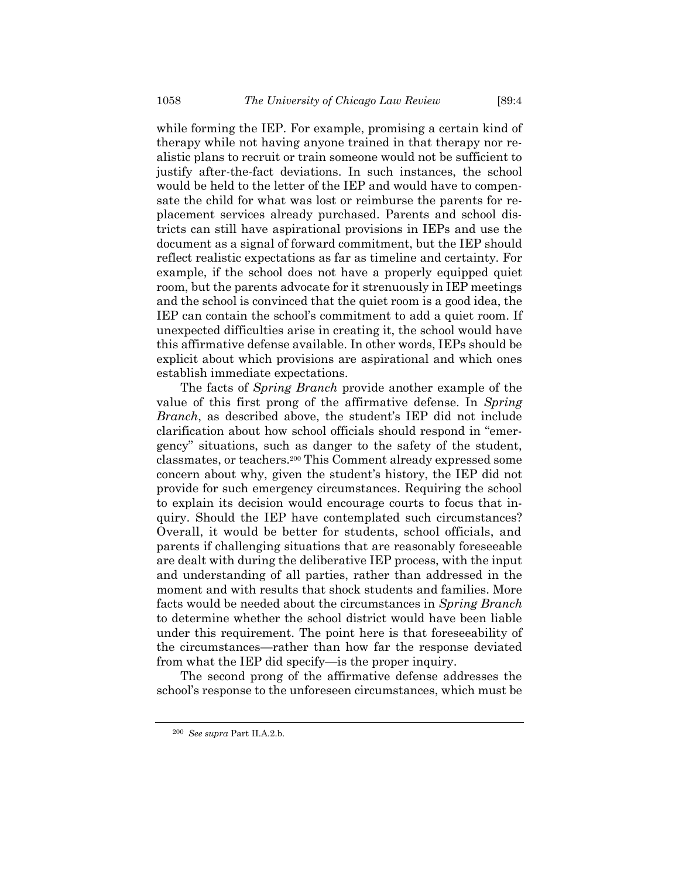while forming the IEP. For example, promising a certain kind of therapy while not having anyone trained in that therapy nor realistic plans to recruit or train someone would not be sufficient to justify after-the-fact deviations. In such instances, the school would be held to the letter of the IEP and would have to compensate the child for what was lost or reimburse the parents for replacement services already purchased. Parents and school districts can still have aspirational provisions in IEPs and use the document as a signal of forward commitment, but the IEP should reflect realistic expectations as far as timeline and certainty. For example, if the school does not have a properly equipped quiet room, but the parents advocate for it strenuously in IEP meetings and the school is convinced that the quiet room is a good idea, the IEP can contain the school's commitment to add a quiet room. If unexpected difficulties arise in creating it, the school would have this affirmative defense available. In other words, IEPs should be explicit about which provisions are aspirational and which ones establish immediate expectations.

The facts of *Spring Branch* provide another example of the value of this first prong of the affirmative defense. In *Spring Branch*, as described above, the student's IEP did not include clarification about how school officials should respond in "emergency" situations, such as danger to the safety of the student, classmates, or teachers.<sup>200</sup> This Comment already expressed some concern about why, given the student's history, the IEP did not provide for such emergency circumstances. Requiring the school to explain its decision would encourage courts to focus that inquiry. Should the IEP have contemplated such circumstances? Overall, it would be better for students, school officials, and parents if challenging situations that are reasonably foreseeable are dealt with during the deliberative IEP process, with the input and understanding of all parties, rather than addressed in the moment and with results that shock students and families. More facts would be needed about the circumstances in *Spring Branch* to determine whether the school district would have been liable under this requirement. The point here is that foreseeability of the circumstances—rather than how far the response deviated from what the IEP did specify—is the proper inquiry.

The second prong of the affirmative defense addresses the school's response to the unforeseen circumstances, which must be

<sup>200</sup> *See supra* Part II.A.2.b.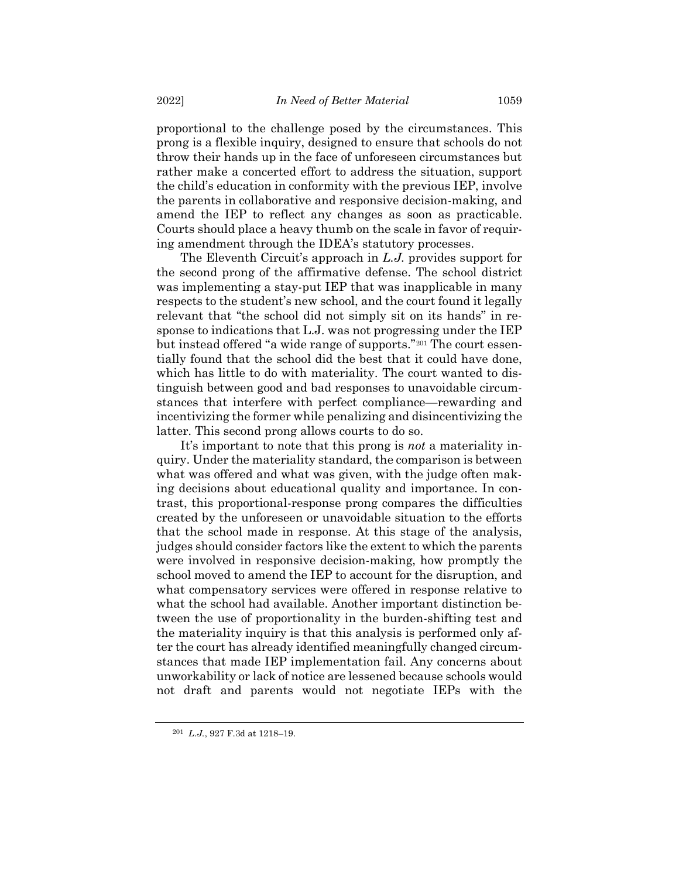proportional to the challenge posed by the circumstances. This prong is a flexible inquiry, designed to ensure that schools do not throw their hands up in the face of unforeseen circumstances but rather make a concerted effort to address the situation, support the child's education in conformity with the previous IEP, involve the parents in collaborative and responsive decision-making, and amend the IEP to reflect any changes as soon as practicable. Courts should place a heavy thumb on the scale in favor of requiring amendment through the IDEA's statutory processes.

The Eleventh Circuit's approach in *L.J.* provides support for the second prong of the affirmative defense. The school district was implementing a stay-put IEP that was inapplicable in many respects to the student's new school, and the court found it legally relevant that "the school did not simply sit on its hands" in response to indications that L.J. was not progressing under the IEP but instead offered "a wide range of supports." <sup>201</sup> The court essentially found that the school did the best that it could have done, which has little to do with materiality. The court wanted to distinguish between good and bad responses to unavoidable circumstances that interfere with perfect compliance—rewarding and incentivizing the former while penalizing and disincentivizing the latter. This second prong allows courts to do so.

It's important to note that this prong is *not* a materiality inquiry. Under the materiality standard, the comparison is between what was offered and what was given, with the judge often making decisions about educational quality and importance. In contrast, this proportional-response prong compares the difficulties created by the unforeseen or unavoidable situation to the efforts that the school made in response. At this stage of the analysis, judges should consider factors like the extent to which the parents were involved in responsive decision-making, how promptly the school moved to amend the IEP to account for the disruption, and what compensatory services were offered in response relative to what the school had available. Another important distinction between the use of proportionality in the burden-shifting test and the materiality inquiry is that this analysis is performed only after the court has already identified meaningfully changed circumstances that made IEP implementation fail. Any concerns about unworkability or lack of notice are lessened because schools would not draft and parents would not negotiate IEPs with the

<sup>201</sup> *L.J.*, 927 F.3d at 1218–19.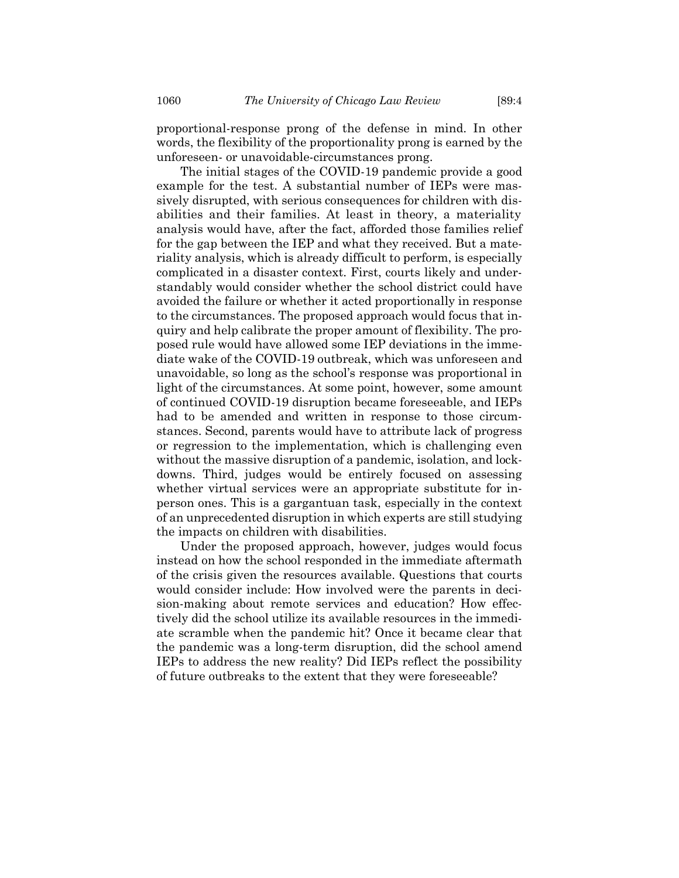proportional-response prong of the defense in mind. In other words, the flexibility of the proportionality prong is earned by the unforeseen- or unavoidable-circumstances prong.

The initial stages of the COVID-19 pandemic provide a good example for the test. A substantial number of IEPs were massively disrupted, with serious consequences for children with disabilities and their families. At least in theory, a materiality analysis would have, after the fact, afforded those families relief for the gap between the IEP and what they received. But a materiality analysis, which is already difficult to perform, is especially complicated in a disaster context. First, courts likely and understandably would consider whether the school district could have avoided the failure or whether it acted proportionally in response to the circumstances. The proposed approach would focus that inquiry and help calibrate the proper amount of flexibility. The proposed rule would have allowed some IEP deviations in the immediate wake of the COVID-19 outbreak, which was unforeseen and unavoidable, so long as the school's response was proportional in light of the circumstances. At some point, however, some amount of continued COVID-19 disruption became foreseeable, and IEPs had to be amended and written in response to those circumstances. Second, parents would have to attribute lack of progress or regression to the implementation, which is challenging even without the massive disruption of a pandemic, isolation, and lockdowns. Third, judges would be entirely focused on assessing whether virtual services were an appropriate substitute for inperson ones. This is a gargantuan task, especially in the context of an unprecedented disruption in which experts are still studying the impacts on children with disabilities.

Under the proposed approach, however, judges would focus instead on how the school responded in the immediate aftermath of the crisis given the resources available. Questions that courts would consider include: How involved were the parents in decision-making about remote services and education? How effectively did the school utilize its available resources in the immediate scramble when the pandemic hit? Once it became clear that the pandemic was a long-term disruption, did the school amend IEPs to address the new reality? Did IEPs reflect the possibility of future outbreaks to the extent that they were foreseeable?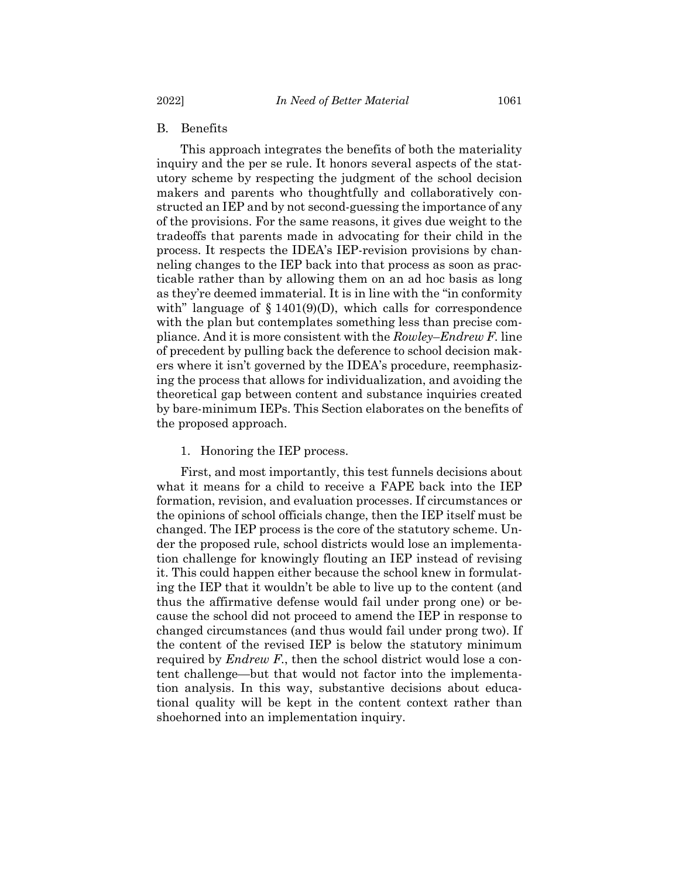2022] *In Need of Better Material* 1061

# B. Benefits

This approach integrates the benefits of both the materiality inquiry and the per se rule. It honors several aspects of the statutory scheme by respecting the judgment of the school decision makers and parents who thoughtfully and collaboratively constructed an IEP and by not second-guessing the importance of any of the provisions. For the same reasons, it gives due weight to the tradeoffs that parents made in advocating for their child in the process. It respects the IDEA's IEP-revision provisions by channeling changes to the IEP back into that process as soon as practicable rather than by allowing them on an ad hoc basis as long as they're deemed immaterial. It is in line with the "in conformity with" language of  $\S 1401(9)(D)$ , which calls for correspondence with the plan but contemplates something less than precise compliance. And it is more consistent with the *Rowley*–*Endrew F.* line of precedent by pulling back the deference to school decision makers where it isn't governed by the IDEA's procedure, reemphasizing the process that allows for individualization, and avoiding the theoretical gap between content and substance inquiries created by bare-minimum IEPs. This Section elaborates on the benefits of the proposed approach.

# 1. Honoring the IEP process.

First, and most importantly, this test funnels decisions about what it means for a child to receive a FAPE back into the IEP formation, revision, and evaluation processes. If circumstances or the opinions of school officials change, then the IEP itself must be changed. The IEP process is the core of the statutory scheme. Under the proposed rule, school districts would lose an implementation challenge for knowingly flouting an IEP instead of revising it. This could happen either because the school knew in formulating the IEP that it wouldn't be able to live up to the content (and thus the affirmative defense would fail under prong one) or because the school did not proceed to amend the IEP in response to changed circumstances (and thus would fail under prong two). If the content of the revised IEP is below the statutory minimum required by *Endrew F.*, then the school district would lose a content challenge—but that would not factor into the implementation analysis. In this way, substantive decisions about educational quality will be kept in the content context rather than shoehorned into an implementation inquiry.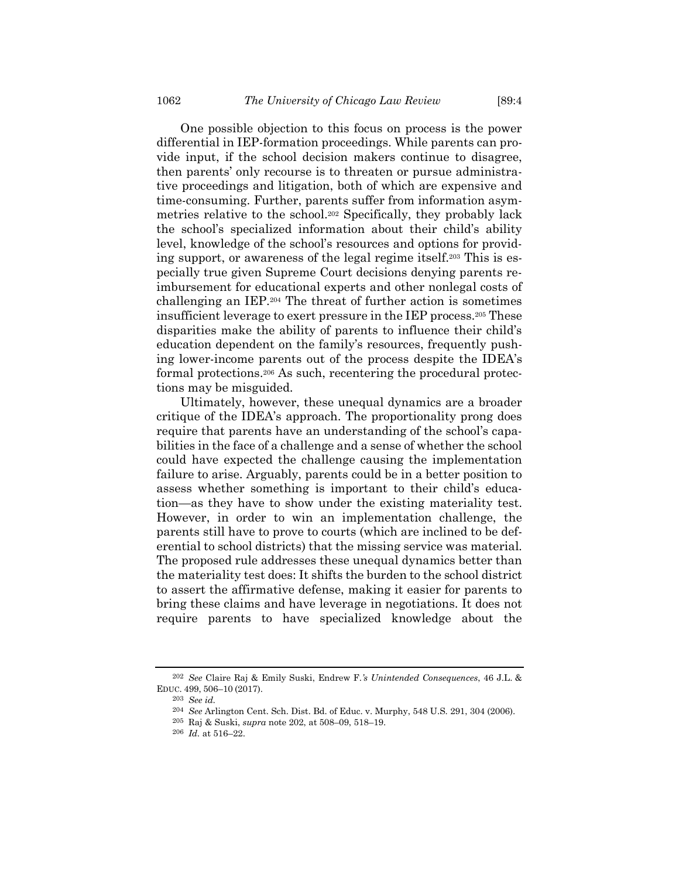<span id="page-41-0"></span>One possible objection to this focus on process is the power differential in IEP-formation proceedings. While parents can provide input, if the school decision makers continue to disagree, then parents' only recourse is to threaten or pursue administrative proceedings and litigation, both of which are expensive and time-consuming. Further, parents suffer from information asymmetries relative to the school.<sup>202</sup> Specifically, they probably lack the school's specialized information about their child's ability level, knowledge of the school's resources and options for providing support, or awareness of the legal regime itself.<sup>203</sup> This is especially true given Supreme Court decisions denying parents reimbursement for educational experts and other nonlegal costs of challenging an IEP.<sup>204</sup> The threat of further action is sometimes insufficient leverage to exert pressure in the IEP process.<sup>205</sup> These disparities make the ability of parents to influence their child's education dependent on the family's resources, frequently pushing lower-income parents out of the process despite the IDEA's formal protections.<sup>206</sup> As such, recentering the procedural protections may be misguided.

Ultimately, however, these unequal dynamics are a broader critique of the IDEA's approach. The proportionality prong does require that parents have an understanding of the school's capabilities in the face of a challenge and a sense of whether the school could have expected the challenge causing the implementation failure to arise. Arguably, parents could be in a better position to assess whether something is important to their child's education—as they have to show under the existing materiality test. However, in order to win an implementation challenge, the parents still have to prove to courts (which are inclined to be deferential to school districts) that the missing service was material. The proposed rule addresses these unequal dynamics better than the materiality test does: It shifts the burden to the school district to assert the affirmative defense, making it easier for parents to bring these claims and have leverage in negotiations. It does not require parents to have specialized knowledge about the

<sup>202</sup> *See* Claire Raj & Emily Suski, Endrew F.*'s Unintended Consequences*, 46 J.L. & EDUC. 499, 506–10 (2017).

<sup>203</sup> *See id.*

<sup>204</sup> *See* Arlington Cent. Sch. Dist. Bd. of Educ. v. Murphy, 548 U.S. 291, 304 (2006).

<sup>205</sup> Raj & Suski, *supra* not[e 202,](#page-41-0) at 508–09, 518–19.

<sup>206</sup> *Id.* at 516–22.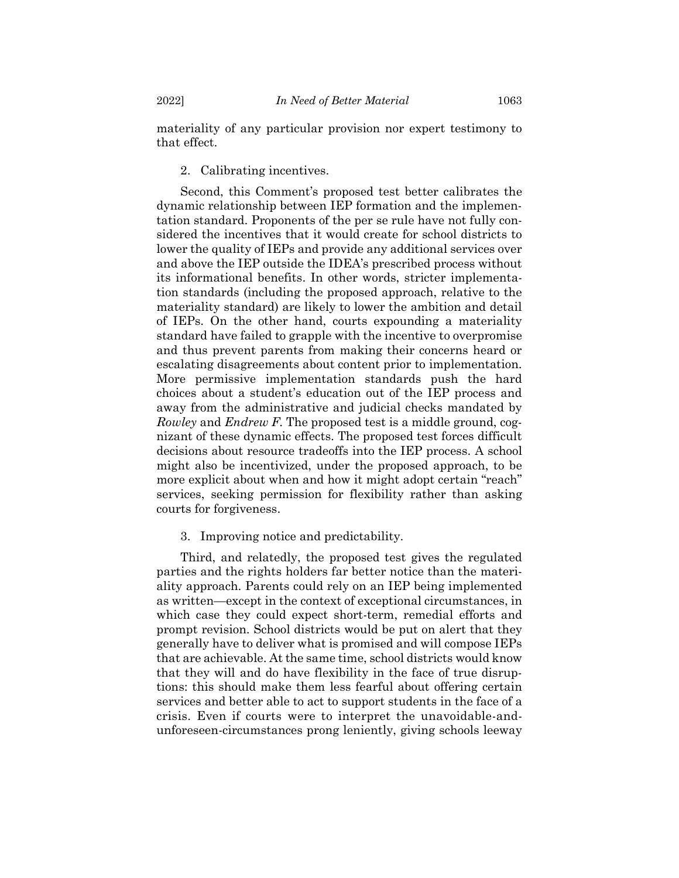materiality of any particular provision nor expert testimony to that effect.

2. Calibrating incentives.

Second, this Comment's proposed test better calibrates the dynamic relationship between IEP formation and the implementation standard. Proponents of the per se rule have not fully considered the incentives that it would create for school districts to lower the quality of IEPs and provide any additional services over and above the IEP outside the IDEA's prescribed process without its informational benefits. In other words, stricter implementation standards (including the proposed approach, relative to the materiality standard) are likely to lower the ambition and detail of IEPs. On the other hand, courts expounding a materiality standard have failed to grapple with the incentive to overpromise and thus prevent parents from making their concerns heard or escalating disagreements about content prior to implementation. More permissive implementation standards push the hard choices about a student's education out of the IEP process and away from the administrative and judicial checks mandated by *Rowley* and *Endrew F.* The proposed test is a middle ground, cognizant of these dynamic effects. The proposed test forces difficult decisions about resource tradeoffs into the IEP process. A school might also be incentivized, under the proposed approach, to be more explicit about when and how it might adopt certain "reach" services, seeking permission for flexibility rather than asking courts for forgiveness.

3. Improving notice and predictability.

Third, and relatedly, the proposed test gives the regulated parties and the rights holders far better notice than the materiality approach. Parents could rely on an IEP being implemented as written—except in the context of exceptional circumstances, in which case they could expect short-term, remedial efforts and prompt revision. School districts would be put on alert that they generally have to deliver what is promised and will compose IEPs that are achievable. At the same time, school districts would know that they will and do have flexibility in the face of true disruptions: this should make them less fearful about offering certain services and better able to act to support students in the face of a crisis. Even if courts were to interpret the unavoidable-andunforeseen-circumstances prong leniently, giving schools leeway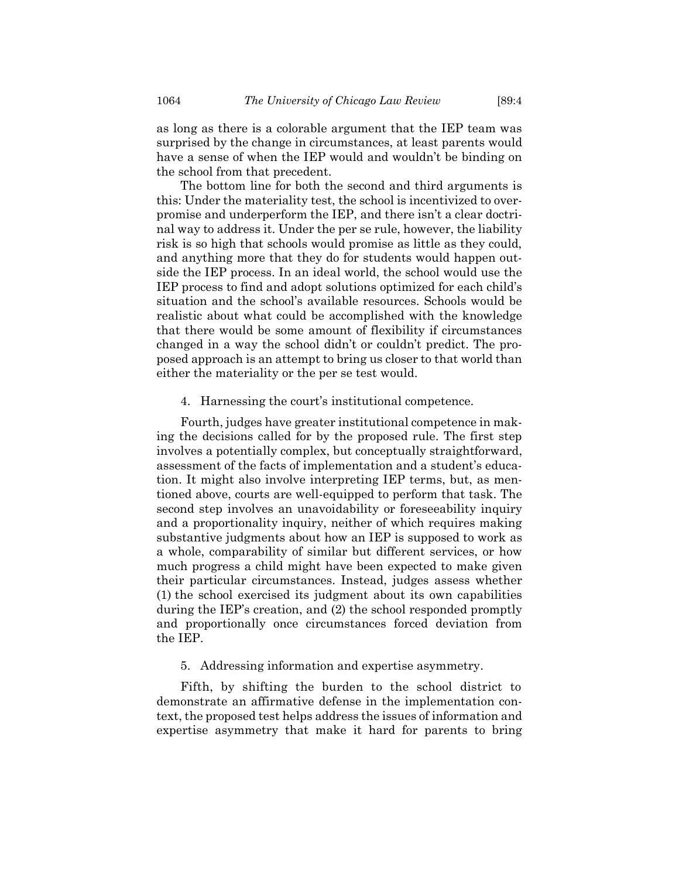as long as there is a colorable argument that the IEP team was surprised by the change in circumstances, at least parents would have a sense of when the IEP would and wouldn't be binding on the school from that precedent.

The bottom line for both the second and third arguments is this: Under the materiality test, the school is incentivized to overpromise and underperform the IEP, and there isn't a clear doctrinal way to address it. Under the per se rule, however, the liability risk is so high that schools would promise as little as they could, and anything more that they do for students would happen outside the IEP process. In an ideal world, the school would use the IEP process to find and adopt solutions optimized for each child's situation and the school's available resources. Schools would be realistic about what could be accomplished with the knowledge that there would be some amount of flexibility if circumstances changed in a way the school didn't or couldn't predict. The proposed approach is an attempt to bring us closer to that world than either the materiality or the per se test would.

#### 4. Harnessing the court's institutional competence.

Fourth, judges have greater institutional competence in making the decisions called for by the proposed rule. The first step involves a potentially complex, but conceptually straightforward, assessment of the facts of implementation and a student's education. It might also involve interpreting IEP terms, but, as mentioned above, courts are well-equipped to perform that task. The second step involves an unavoidability or foreseeability inquiry and a proportionality inquiry, neither of which requires making substantive judgments about how an IEP is supposed to work as a whole, comparability of similar but different services, or how much progress a child might have been expected to make given their particular circumstances. Instead, judges assess whether (1) the school exercised its judgment about its own capabilities during the IEP's creation, and (2) the school responded promptly and proportionally once circumstances forced deviation from the IEP.

# 5. Addressing information and expertise asymmetry.

Fifth, by shifting the burden to the school district to demonstrate an affirmative defense in the implementation context, the proposed test helps address the issues of information and expertise asymmetry that make it hard for parents to bring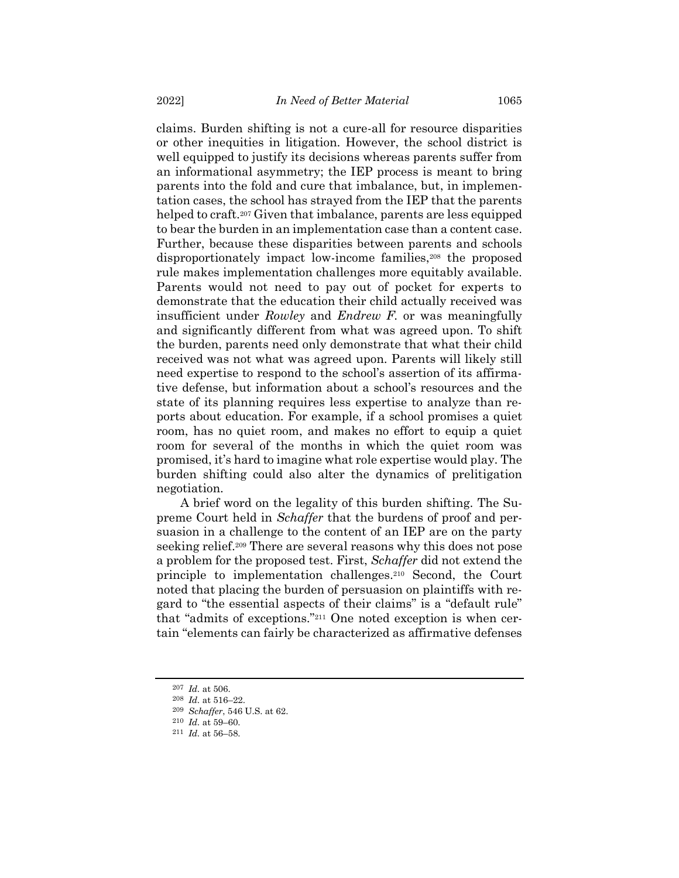claims. Burden shifting is not a cure-all for resource disparities or other inequities in litigation. However, the school district is well equipped to justify its decisions whereas parents suffer from an informational asymmetry; the IEP process is meant to bring parents into the fold and cure that imbalance, but, in implementation cases, the school has strayed from the IEP that the parents helped to craft.<sup>207</sup> Given that imbalance, parents are less equipped to bear the burden in an implementation case than a content case. Further, because these disparities between parents and schools disproportionately impact low-income families,<sup>208</sup> the proposed rule makes implementation challenges more equitably available. Parents would not need to pay out of pocket for experts to demonstrate that the education their child actually received was insufficient under *Rowley* and *Endrew F.* or was meaningfully and significantly different from what was agreed upon. To shift the burden, parents need only demonstrate that what their child received was not what was agreed upon. Parents will likely still need expertise to respond to the school's assertion of its affirmative defense, but information about a school's resources and the state of its planning requires less expertise to analyze than reports about education. For example, if a school promises a quiet room, has no quiet room, and makes no effort to equip a quiet room for several of the months in which the quiet room was promised, it's hard to imagine what role expertise would play. The burden shifting could also alter the dynamics of prelitigation negotiation.

A brief word on the legality of this burden shifting. The Supreme Court held in *Schaffer* that the burdens of proof and persuasion in a challenge to the content of an IEP are on the party seeking relief.<sup>209</sup> There are several reasons why this does not pose a problem for the proposed test. First, *Schaffer* did not extend the principle to implementation challenges.<sup>210</sup> Second, the Court noted that placing the burden of persuasion on plaintiffs with regard to "the essential aspects of their claims" is a "default rule" that "admits of exceptions."<sup>211</sup> One noted exception is when certain "elements can fairly be characterized as affirmative defenses

<sup>207</sup> *Id.* at 506.

<sup>208</sup> *Id.* at 516–22.

<sup>209</sup> *Schaffer*, 546 U.S. at 62.

<sup>210</sup> *Id.* at 59–60.

<sup>211</sup> *Id.* at 56–58.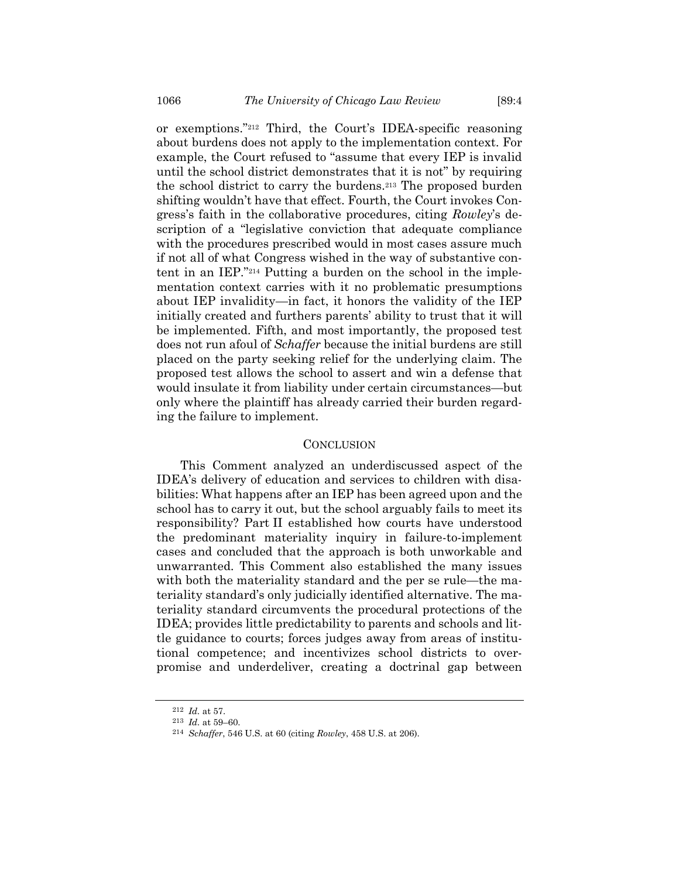or exemptions."<sup>212</sup> Third, the Court's IDEA-specific reasoning about burdens does not apply to the implementation context. For example, the Court refused to "assume that every IEP is invalid until the school district demonstrates that it is not" by requiring the school district to carry the burdens.<sup>213</sup> The proposed burden shifting wouldn't have that effect. Fourth, the Court invokes Congress's faith in the collaborative procedures, citing *Rowley*'s description of a "legislative conviction that adequate compliance with the procedures prescribed would in most cases assure much if not all of what Congress wished in the way of substantive content in an IEP."<sup>214</sup> Putting a burden on the school in the implementation context carries with it no problematic presumptions about IEP invalidity—in fact, it honors the validity of the IEP initially created and furthers parents' ability to trust that it will be implemented. Fifth, and most importantly, the proposed test does not run afoul of *Schaffer* because the initial burdens are still placed on the party seeking relief for the underlying claim. The proposed test allows the school to assert and win a defense that would insulate it from liability under certain circumstances—but only where the plaintiff has already carried their burden regarding the failure to implement.

### **CONCLUSION**

This Comment analyzed an underdiscussed aspect of the IDEA's delivery of education and services to children with disabilities: What happens after an IEP has been agreed upon and the school has to carry it out, but the school arguably fails to meet its responsibility? Part II established how courts have understood the predominant materiality inquiry in failure-to-implement cases and concluded that the approach is both unworkable and unwarranted. This Comment also established the many issues with both the materiality standard and the per se rule—the materiality standard's only judicially identified alternative. The materiality standard circumvents the procedural protections of the IDEA; provides little predictability to parents and schools and little guidance to courts; forces judges away from areas of institutional competence; and incentivizes school districts to overpromise and underdeliver, creating a doctrinal gap between

<sup>212</sup> *Id.* at 57.

<sup>213</sup> *Id.* at 59–60.

<sup>214</sup> *Schaffer*, 546 U.S. at 60 (citing *Rowley*, 458 U.S. at 206).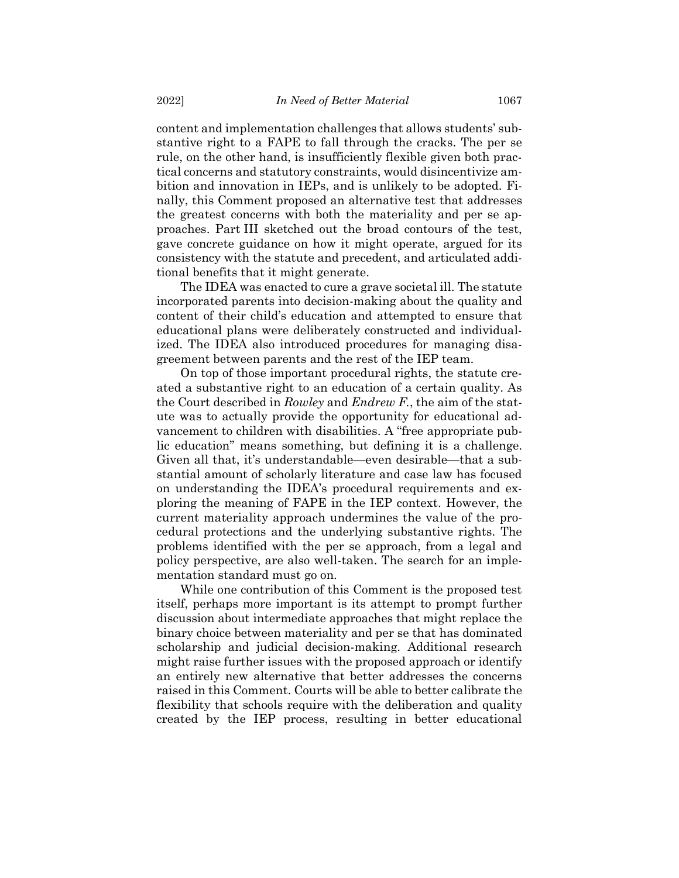content and implementation challenges that allows students' substantive right to a FAPE to fall through the cracks. The per se rule, on the other hand, is insufficiently flexible given both practical concerns and statutory constraints, would disincentivize ambition and innovation in IEPs, and is unlikely to be adopted. Finally, this Comment proposed an alternative test that addresses the greatest concerns with both the materiality and per se approaches. Part III sketched out the broad contours of the test, gave concrete guidance on how it might operate, argued for its consistency with the statute and precedent, and articulated additional benefits that it might generate.

The IDEA was enacted to cure a grave societal ill. The statute incorporated parents into decision-making about the quality and content of their child's education and attempted to ensure that educational plans were deliberately constructed and individualized. The IDEA also introduced procedures for managing disagreement between parents and the rest of the IEP team.

On top of those important procedural rights, the statute created a substantive right to an education of a certain quality. As the Court described in *Rowley* and *Endrew F.*, the aim of the statute was to actually provide the opportunity for educational advancement to children with disabilities. A "free appropriate public education" means something, but defining it is a challenge. Given all that, it's understandable—even desirable—that a substantial amount of scholarly literature and case law has focused on understanding the IDEA's procedural requirements and exploring the meaning of FAPE in the IEP context. However, the current materiality approach undermines the value of the procedural protections and the underlying substantive rights. The problems identified with the per se approach, from a legal and policy perspective, are also well-taken. The search for an implementation standard must go on.

While one contribution of this Comment is the proposed test itself, perhaps more important is its attempt to prompt further discussion about intermediate approaches that might replace the binary choice between materiality and per se that has dominated scholarship and judicial decision-making. Additional research might raise further issues with the proposed approach or identify an entirely new alternative that better addresses the concerns raised in this Comment. Courts will be able to better calibrate the flexibility that schools require with the deliberation and quality created by the IEP process, resulting in better educational